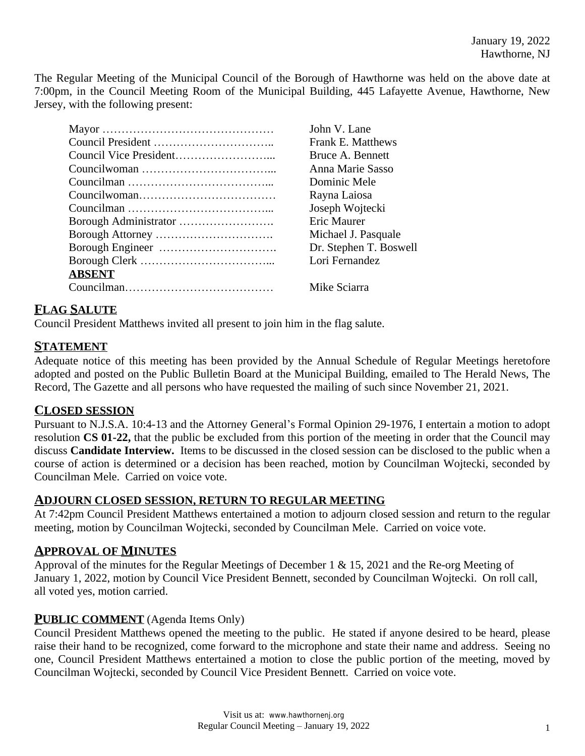The Regular Meeting of the Municipal Council of the Borough of Hawthorne was held on the above date at 7:00pm, in the Council Meeting Room of the Municipal Building, 445 Lafayette Avenue, Hawthorne, New Jersey, with the following present:

|               | John V. Lane           |
|---------------|------------------------|
|               | Frank E. Matthews      |
|               | Bruce A. Bennett       |
|               | Anna Marie Sasso       |
|               | Dominic Mele           |
|               | Rayna Laiosa           |
|               | Joseph Wojtecki        |
|               | Eric Maurer            |
|               | Michael J. Pasquale    |
|               | Dr. Stephen T. Boswell |
|               | Lori Fernandez         |
| <b>ABSENT</b> |                        |
|               | Mike Sciarra           |

## **FLAG SALUTE**

Council President Matthews invited all present to join him in the flag salute.

#### **STATEMENT**

Adequate notice of this meeting has been provided by the Annual Schedule of Regular Meetings heretofore adopted and posted on the Public Bulletin Board at the Municipal Building, emailed to The Herald News, The Record, The Gazette and all persons who have requested the mailing of such since November 21, 2021.

#### **CLOSED SESSION**

Pursuant to N.J.S.A. 10:4-13 and the Attorney General's Formal Opinion 29-1976, I entertain a motion to adopt resolution **CS 01-22,** that the public be excluded from this portion of the meeting in order that the Council may discuss **Candidate Interview.** Items to be discussed in the closed session can be disclosed to the public when a course of action is determined or a decision has been reached, motion by Councilman Wojtecki, seconded by Councilman Mele. Carried on voice vote.

#### **ADJOURN CLOSED SESSION, RETURN TO REGULAR MEETING**

At 7:42pm Council President Matthews entertained a motion to adjourn closed session and return to the regular meeting, motion by Councilman Wojtecki, seconded by Councilman Mele. Carried on voice vote.

#### **APPROVAL OF MINUTES**

Approval of the minutes for the Regular Meetings of December 1 & 15, 2021 and the Re-org Meeting of January 1, 2022, motion by Council Vice President Bennett, seconded by Councilman Wojtecki. On roll call, all voted yes, motion carried.

#### **PUBLIC COMMENT** (Agenda Items Only)

Council President Matthews opened the meeting to the public. He stated if anyone desired to be heard, please raise their hand to be recognized, come forward to the microphone and state their name and address. Seeing no one, Council President Matthews entertained a motion to close the public portion of the meeting, moved by Councilman Wojtecki, seconded by Council Vice President Bennett. Carried on voice vote.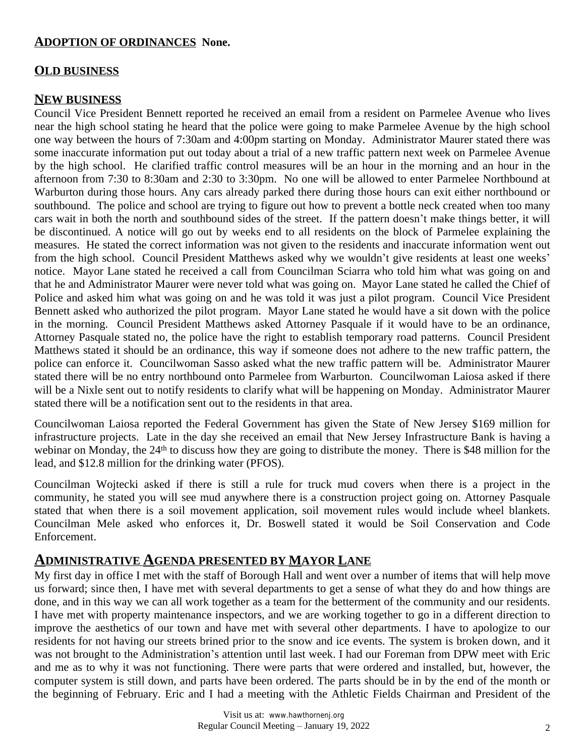#### **ADOPTION OF ORDINANCES None.**

## **OLD BUSINESS**

## **NEW BUSINESS**

Council Vice President Bennett reported he received an email from a resident on Parmelee Avenue who lives near the high school stating he heard that the police were going to make Parmelee Avenue by the high school one way between the hours of 7:30am and 4:00pm starting on Monday. Administrator Maurer stated there was some inaccurate information put out today about a trial of a new traffic pattern next week on Parmelee Avenue by the high school. He clarified traffic control measures will be an hour in the morning and an hour in the afternoon from 7:30 to 8:30am and 2:30 to 3:30pm. No one will be allowed to enter Parmelee Northbound at Warburton during those hours. Any cars already parked there during those hours can exit either northbound or southbound. The police and school are trying to figure out how to prevent a bottle neck created when too many cars wait in both the north and southbound sides of the street. If the pattern doesn't make things better, it will be discontinued. A notice will go out by weeks end to all residents on the block of Parmelee explaining the measures. He stated the correct information was not given to the residents and inaccurate information went out from the high school. Council President Matthews asked why we wouldn't give residents at least one weeks' notice. Mayor Lane stated he received a call from Councilman Sciarra who told him what was going on and that he and Administrator Maurer were never told what was going on. Mayor Lane stated he called the Chief of Police and asked him what was going on and he was told it was just a pilot program. Council Vice President Bennett asked who authorized the pilot program. Mayor Lane stated he would have a sit down with the police in the morning. Council President Matthews asked Attorney Pasquale if it would have to be an ordinance, Attorney Pasquale stated no, the police have the right to establish temporary road patterns. Council President Matthews stated it should be an ordinance, this way if someone does not adhere to the new traffic pattern, the police can enforce it. Councilwoman Sasso asked what the new traffic pattern will be. Administrator Maurer stated there will be no entry northbound onto Parmelee from Warburton. Councilwoman Laiosa asked if there will be a Nixle sent out to notify residents to clarify what will be happening on Monday. Administrator Maurer stated there will be a notification sent out to the residents in that area.

Councilwoman Laiosa reported the Federal Government has given the State of New Jersey \$169 million for infrastructure projects. Late in the day she received an email that New Jersey Infrastructure Bank is having a webinar on Monday, the 24<sup>th</sup> to discuss how they are going to distribute the money. There is \$48 million for the lead, and \$12.8 million for the drinking water (PFOS).

Councilman Wojtecki asked if there is still a rule for truck mud covers when there is a project in the community, he stated you will see mud anywhere there is a construction project going on. Attorney Pasquale stated that when there is a soil movement application, soil movement rules would include wheel blankets. Councilman Mele asked who enforces it, Dr. Boswell stated it would be Soil Conservation and Code Enforcement.

# **ADMINISTRATIVE AGENDA PRESENTED BY MAYOR LANE**

My first day in office I met with the staff of Borough Hall and went over a number of items that will help move us forward; since then, I have met with several departments to get a sense of what they do and how things are done, and in this way we can all work together as a team for the betterment of the community and our residents. I have met with property maintenance inspectors, and we are working together to go in a different direction to improve the aesthetics of our town and have met with several other departments. I have to apologize to our residents for not having our streets brined prior to the snow and ice events. The system is broken down, and it was not brought to the Administration's attention until last week. I had our Foreman from DPW meet with Eric and me as to why it was not functioning. There were parts that were ordered and installed, but, however, the computer system is still down, and parts have been ordered. The parts should be in by the end of the month or the beginning of February. Eric and I had a meeting with the Athletic Fields Chairman and President of the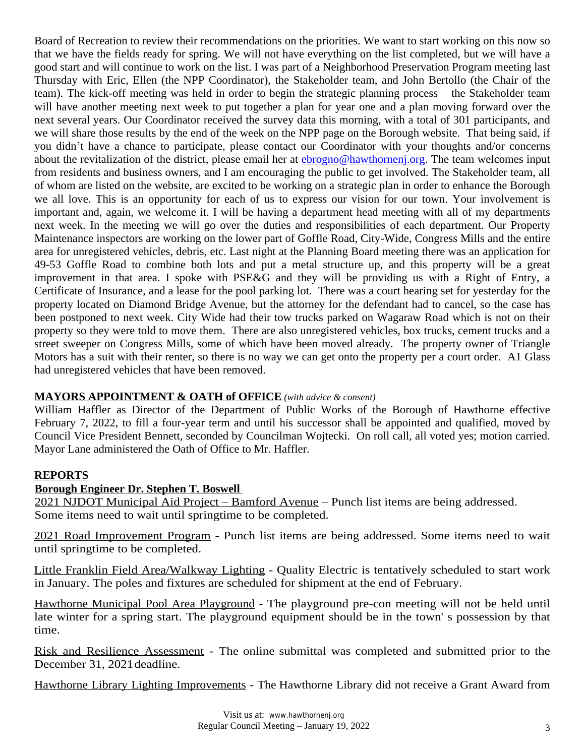Board of Recreation to review their recommendations on the priorities. We want to start working on this now so that we have the fields ready for spring. We will not have everything on the list completed, but we will have a good start and will continue to work on the list. I was part of a Neighborhood Preservation Program meeting last Thursday with Eric, Ellen (the NPP Coordinator), the Stakeholder team, and John Bertollo (the Chair of the team). The kick-off meeting was held in order to begin the strategic planning process – the Stakeholder team will have another meeting next week to put together a plan for year one and a plan moving forward over the next several years. Our Coordinator received the survey data this morning, with a total of 301 participants, and we will share those results by the end of the week on the NPP page on the Borough website. That being said, if you didn't have a chance to participate, please contact our Coordinator with your thoughts and/or concerns about the revitalization of the district, please email her at **e**brogno@hawthornenj.org. The team welcomes input from residents and business owners, and I am encouraging the public to get involved. The Stakeholder team, all of whom are listed on the website, are excited to be working on a strategic plan in order to enhance the Borough we all love. This is an opportunity for each of us to express our vision for our town. Your involvement is important and, again, we welcome it. I will be having a department head meeting with all of my departments next week. In the meeting we will go over the duties and responsibilities of each department. Our Property Maintenance inspectors are working on the lower part of Goffle Road, City-Wide, Congress Mills and the entire area for unregistered vehicles, debris, etc. Last night at the Planning Board meeting there was an application for 49-53 Goffle Road to combine both lots and put a metal structure up, and this property will be a great improvement in that area. I spoke with PSE&G and they will be providing us with a Right of Entry, a Certificate of Insurance, and a lease for the pool parking lot. There was a court hearing set for yesterday for the property located on Diamond Bridge Avenue, but the attorney for the defendant had to cancel, so the case has been postponed to next week. City Wide had their tow trucks parked on Wagaraw Road which is not on their property so they were told to move them. There are also unregistered vehicles, box trucks, cement trucks and a street sweeper on Congress Mills, some of which have been moved already. The property owner of Triangle Motors has a suit with their renter, so there is no way we can get onto the property per a court order. A1 Glass had unregistered vehicles that have been removed.

# **MAYORS APPOINTMENT & OATH of OFFICE** *(with advice & consent)*

William Haffler as Director of the Department of Public Works of the Borough of Hawthorne effective February 7, 2022, to fill a four-year term and until his successor shall be appointed and qualified, moved by Council Vice President Bennett, seconded by Councilman Wojtecki. On roll call, all voted yes; motion carried. Mayor Lane administered the Oath of Office to Mr. Haffler.

# **REPORTS**

## **Borough Engineer Dr. Stephen T. Boswell**

2021 NJDOT Municipal Aid Project – Bamford Avenue – Punch list items are being addressed. Some items need to wait until springtime to be completed.

2021 Road Improvement Program - Punch list items are being addressed. Some items need to wait until springtime to be completed.

Little Franklin Field Area/Walkway Lighting - Quality Electric is tentatively scheduled to start work in January. The poles and fixtures are scheduled for shipment at the end of February.

Hawthorne Municipal Pool Area Playground - The playground pre-con meeting will not be held until late winter for a spring start. The playground equipment should be in the town' s possession by that time.

Risk and Resilience Assessment - The online submittal was completed and submitted prior to the December 31, 2021 deadline.

Hawthorne Library Lighting Improvements - The Hawthorne Library did not receive a Grant Award from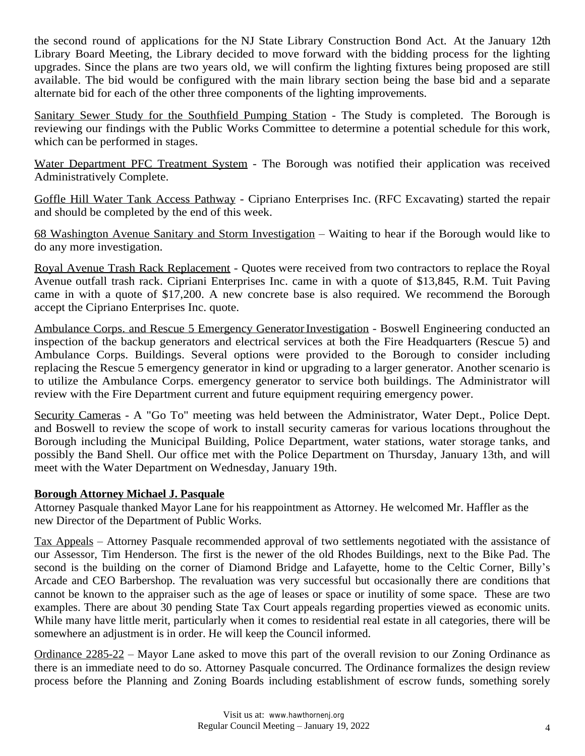the second round of applications for the NJ State Library Construction Bond Act. At the January 12th Library Board Meeting, the Library decided to move forward with the bidding process for the lighting upgrades. Since the plans are two years old, we will confirm the lighting fixtures being proposed are still available. The bid would be configured with the main library section being the base bid and a separate alternate bid for each of the other three components of the lighting improvements.

Sanitary Sewer Study for the Southfield Pumping Station - The Study is completed. The Borough is reviewing our findings with the Public Works Committee to determine a potential schedule for this work, which can be performed in stages.

Water Department PFC Treatment System - The Borough was notified their application was received Administratively Complete.

Goffle Hill Water Tank Access Pathway - Cipriano Enterprises Inc. (RFC Excavating) started the repair and should be completed by the end of this week.

68 Washington Avenue Sanitary and Storm Investigation – Waiting to hear if the Borough would like to do any more investigation.

Royal Avenue Trash Rack Replacement - Quotes were received from two contractors to replace the Royal Avenue outfall trash rack. Cipriani Enterprises Inc. came in with a quote of \$13,845, R.M. Tuit Paving came in with a quote of \$17,200. A new concrete base is also required. We recommend the Borough accept the Cipriano Enterprises Inc. quote.

Ambulance Corps. and Rescue 5 Emergency Generator Investigation - Boswell Engineering conducted an inspection of the backup generators and electrical services at both the Fire Headquarters (Rescue 5) and Ambulance Corps. Buildings. Several options were provided to the Borough to consider including replacing the Rescue 5 emergency generator in kind or upgrading to a larger generator. Another scenario is to utilize the Ambulance Corps. emergency generator to service both buildings. The Administrator will review with the Fire Department current and future equipment requiring emergency power.

Security Cameras - A "Go To" meeting was held between the Administrator, Water Dept., Police Dept. and Boswell to review the scope of work to install security cameras for various locations throughout the Borough including the Municipal Building, Police Department, water stations, water storage tanks, and possibly the Band Shell. Our office met with the Police Department on Thursday, January 13th, and will meet with the Water Department on Wednesday, January 19th.

#### **Borough Attorney Michael J. Pasquale**

Attorney Pasquale thanked Mayor Lane for his reappointment as Attorney. He welcomed Mr. Haffler as the new Director of the Department of Public Works.

Tax Appeals – Attorney Pasquale recommended approval of two settlements negotiated with the assistance of our Assessor, Tim Henderson. The first is the newer of the old Rhodes Buildings, next to the Bike Pad. The second is the building on the corner of Diamond Bridge and Lafayette, home to the Celtic Corner, Billy's Arcade and CEO Barbershop. The revaluation was very successful but occasionally there are conditions that cannot be known to the appraiser such as the age of leases or space or inutility of some space. These are two examples. There are about 30 pending State Tax Court appeals regarding properties viewed as economic units. While many have little merit, particularly when it comes to residential real estate in all categories, there will be somewhere an adjustment is in order. He will keep the Council informed.

Ordinance 2285-22 – Mayor Lane asked to move this part of the overall revision to our Zoning Ordinance as there is an immediate need to do so. Attorney Pasquale concurred. The Ordinance formalizes the design review process before the Planning and Zoning Boards including establishment of escrow funds, something sorely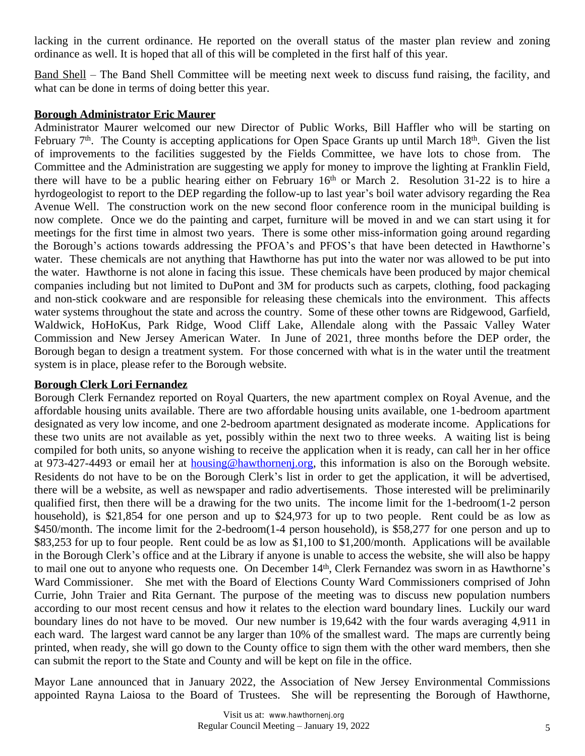lacking in the current ordinance. He reported on the overall status of the master plan review and zoning ordinance as well. It is hoped that all of this will be completed in the first half of this year.

Band Shell – The Band Shell Committee will be meeting next week to discuss fund raising, the facility, and what can be done in terms of doing better this year.

#### **Borough Administrator Eric Maurer**

Administrator Maurer welcomed our new Director of Public Works, Bill Haffler who will be starting on February 7<sup>th</sup>. The County is accepting applications for Open Space Grants up until March 18<sup>th</sup>. Given the list of improvements to the facilities suggested by the Fields Committee, we have lots to chose from. The Committee and the Administration are suggesting we apply for money to improve the lighting at Franklin Field, there will have to be a public hearing either on February  $16<sup>th</sup>$  or March 2. Resolution 31-22 is to hire a hyrdogeologist to report to the DEP regarding the follow-up to last year's boil water advisory regarding the Rea Avenue Well. The construction work on the new second floor conference room in the municipal building is now complete. Once we do the painting and carpet, furniture will be moved in and we can start using it for meetings for the first time in almost two years. There is some other miss-information going around regarding the Borough's actions towards addressing the PFOA's and PFOS's that have been detected in Hawthorne's water. These chemicals are not anything that Hawthorne has put into the water nor was allowed to be put into the water. Hawthorne is not alone in facing this issue. These chemicals have been produced by major chemical companies including but not limited to DuPont and 3M for products such as carpets, clothing, food packaging and non-stick cookware and are responsible for releasing these chemicals into the environment. This affects water systems throughout the state and across the country. Some of these other towns are Ridgewood, Garfield, Waldwick, HoHoKus, Park Ridge, Wood Cliff Lake, Allendale along with the Passaic Valley Water Commission and New Jersey American Water. In June of 2021, three months before the DEP order, the Borough began to design a treatment system. For those concerned with what is in the water until the treatment system is in place, please refer to the Borough website.

## **Borough Clerk Lori Fernandez**

Borough Clerk Fernandez reported on Royal Quarters, the new apartment complex on Royal Avenue, and the affordable housing units available. There are two affordable housing units available, one 1-bedroom apartment designated as very low income, and one 2-bedroom apartment designated as moderate income. Applications for these two units are not available as yet, possibly within the next two to three weeks. A waiting list is being compiled for both units, so anyone wishing to receive the application when it is ready, can call her in her office at 973-427-4493 or email her at [housing@hawthornenj.org,](mailto:housing@hawthornenj.org) this information is also on the Borough website. Residents do not have to be on the Borough Clerk's list in order to get the application, it will be advertised, there will be a website, as well as newspaper and radio advertisements. Those interested will be preliminarily qualified first, then there will be a drawing for the two units. The income limit for the 1-bedroom(1-2 person household), is \$21,854 for one person and up to \$24,973 for up to two people. Rent could be as low as \$450/month. The income limit for the 2-bedroom(1-4 person household), is \$58,277 for one person and up to \$83,253 for up to four people. Rent could be as low as \$1,100 to \$1,200/month. Applications will be available in the Borough Clerk's office and at the Library if anyone is unable to access the website, she will also be happy to mail one out to anyone who requests one. On December 14<sup>th</sup>, Clerk Fernandez was sworn in as Hawthorne's Ward Commissioner. She met with the Board of Elections County Ward Commissioners comprised of John Currie, John Traier and Rita Gernant. The purpose of the meeting was to discuss new population numbers according to our most recent census and how it relates to the election ward boundary lines. Luckily our ward boundary lines do not have to be moved. Our new number is 19,642 with the four wards averaging 4,911 in each ward. The largest ward cannot be any larger than 10% of the smallest ward. The maps are currently being printed, when ready, she will go down to the County office to sign them with the other ward members, then she can submit the report to the State and County and will be kept on file in the office.

Mayor Lane announced that in January 2022, the Association of New Jersey Environmental Commissions appointed Rayna Laiosa to the Board of Trustees. She will be representing the Borough of Hawthorne,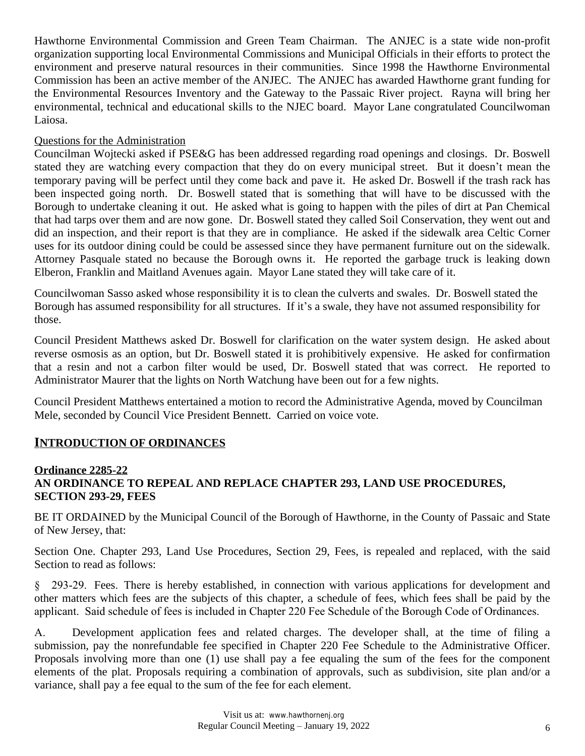Hawthorne Environmental Commission and Green Team Chairman. The ANJEC is a state wide non-profit organization supporting local Environmental Commissions and Municipal Officials in their efforts to protect the environment and preserve natural resources in their communities. Since 1998 the Hawthorne Environmental Commission has been an active member of the ANJEC. The ANJEC has awarded Hawthorne grant funding for the Environmental Resources Inventory and the Gateway to the Passaic River project. Rayna will bring her environmental, technical and educational skills to the NJEC board. Mayor Lane congratulated Councilwoman Laiosa.

## Questions for the Administration

Councilman Wojtecki asked if PSE&G has been addressed regarding road openings and closings. Dr. Boswell stated they are watching every compaction that they do on every municipal street. But it doesn't mean the temporary paving will be perfect until they come back and pave it. He asked Dr. Boswell if the trash rack has been inspected going north. Dr. Boswell stated that is something that will have to be discussed with the Borough to undertake cleaning it out. He asked what is going to happen with the piles of dirt at Pan Chemical that had tarps over them and are now gone. Dr. Boswell stated they called Soil Conservation, they went out and did an inspection, and their report is that they are in compliance. He asked if the sidewalk area Celtic Corner uses for its outdoor dining could be could be assessed since they have permanent furniture out on the sidewalk. Attorney Pasquale stated no because the Borough owns it. He reported the garbage truck is leaking down Elberon, Franklin and Maitland Avenues again. Mayor Lane stated they will take care of it.

Councilwoman Sasso asked whose responsibility it is to clean the culverts and swales. Dr. Boswell stated the Borough has assumed responsibility for all structures. If it's a swale, they have not assumed responsibility for those.

Council President Matthews asked Dr. Boswell for clarification on the water system design. He asked about reverse osmosis as an option, but Dr. Boswell stated it is prohibitively expensive. He asked for confirmation that a resin and not a carbon filter would be used, Dr. Boswell stated that was correct. He reported to Administrator Maurer that the lights on North Watchung have been out for a few nights.

Council President Matthews entertained a motion to record the Administrative Agenda, moved by Councilman Mele, seconded by Council Vice President Bennett. Carried on voice vote.

## **INTRODUCTION OF ORDINANCES**

#### **Ordinance 2285-22 AN ORDINANCE TO REPEAL AND REPLACE CHAPTER 293, LAND USE PROCEDURES, SECTION 293-29, FEES**

BE IT ORDAINED by the Municipal Council of the Borough of Hawthorne, in the County of Passaic and State of New Jersey, that:

Section One. Chapter 293, Land Use Procedures, Section 29, Fees, is repealed and replaced, with the said Section to read as follows:

§ 293-29. Fees. There is hereby established, in connection with various applications for development and other matters which fees are the subjects of this chapter, a schedule of fees, which fees shall be paid by the applicant. Said schedule of fees is included in Chapter 220 Fee Schedule of the Borough Code of Ordinances.

A. Development application fees and related charges. The developer shall, at the time of filing a submission, pay the nonrefundable fee specified in Chapter 220 Fee Schedule to the Administrative Officer. Proposals involving more than one (1) use shall pay a fee equaling the sum of the fees for the component elements of the plat. Proposals requiring a combination of approvals, such as subdivision, site plan and/or a variance, shall pay a fee equal to the sum of the fee for each element.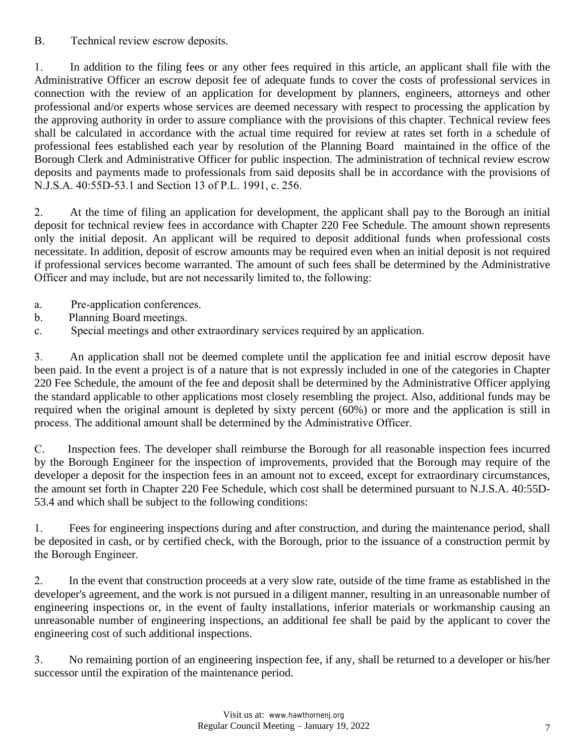B. Technical review escrow deposits.

1. In addition to the filing fees or any other fees required in this article, an applicant shall file with the Administrative Officer an escrow deposit fee of adequate funds to cover the costs of professional services in connection with the review of an application for development by planners, engineers, attorneys and other professional and/or experts whose services are deemed necessary with respect to processing the application by the approving authority in order to assure compliance with the provisions of this chapter. Technical review fees shall be calculated in accordance with the actual time required for review at rates set forth in a schedule of professional fees established each year by resolution of the Planning Board maintained in the office of the Borough Clerk and Administrative Officer for public inspection. The administration of technical review escrow deposits and payments made to professionals from said deposits shall be in accordance with the provisions of N.J.S.A. 40:55D-53.1 and Section 13 of P.L. 1991, c. 256.

2. At the time of filing an application for development, the applicant shall pay to the Borough an initial deposit for technical review fees in accordance with Chapter 220 Fee Schedule. The amount shown represents only the initial deposit. An applicant will be required to deposit additional funds when professional costs necessitate. In addition, deposit of escrow amounts may be required even when an initial deposit is not required if professional services become warranted. The amount of such fees shall be determined by the Administrative Officer and may include, but are not necessarily limited to, the following:

- a. Pre-application conferences.
- b. Planning Board meetings.
- c. Special meetings and other extraordinary services required by an application.

3. An application shall not be deemed complete until the application fee and initial escrow deposit have been paid. In the event a project is of a nature that is not expressly included in one of the categories in Chapter 220 Fee Schedule, the amount of the fee and deposit shall be determined by the Administrative Officer applying the standard applicable to other applications most closely resembling the project. Also, additional funds may be required when the original amount is depleted by sixty percent (60%) or more and the application is still in process. The additional amount shall be determined by the Administrative Officer.

C. Inspection fees. The developer shall reimburse the Borough for all reasonable inspection fees incurred by the Borough Engineer for the inspection of improvements, provided that the Borough may require of the developer a deposit for the inspection fees in an amount not to exceed, except for extraordinary circumstances, the amount set forth in Chapter 220 Fee Schedule, which cost shall be determined pursuant to N.J.S.A. 40:55D-53.4 and which shall be subject to the following conditions:

1. Fees for engineering inspections during and after construction, and during the maintenance period, shall be deposited in cash, or by certified check, with the Borough, prior to the issuance of a construction permit by the Borough Engineer.

2. In the event that construction proceeds at a very slow rate, outside of the time frame as established in the developer's agreement, and the work is not pursued in a diligent manner, resulting in an unreasonable number of engineering inspections or, in the event of faulty installations, inferior materials or workmanship causing an unreasonable number of engineering inspections, an additional fee shall be paid by the applicant to cover the engineering cost of such additional inspections.

3. No remaining portion of an engineering inspection fee, if any, shall be returned to a developer or his/her successor until the expiration of the maintenance period.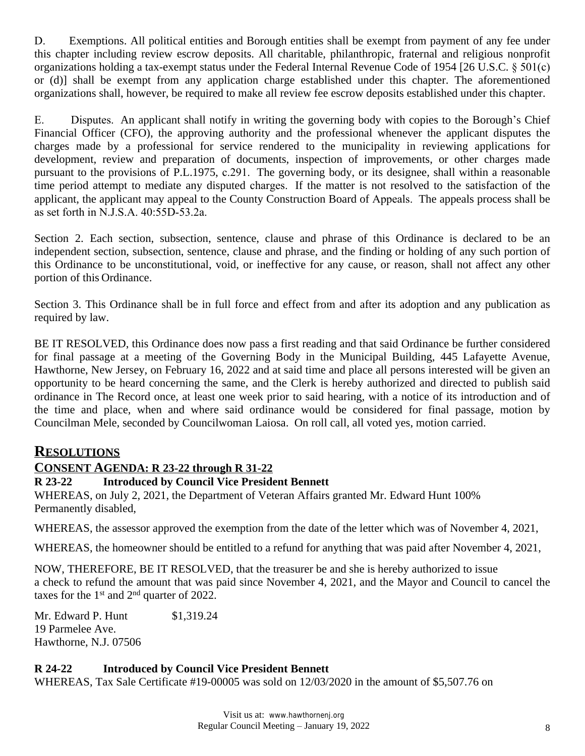D. Exemptions. All political entities and Borough entities shall be exempt from payment of any fee under this chapter including review escrow deposits. All charitable, philanthropic, fraternal and religious nonprofit organizations holding a tax-exempt status under the Federal Internal Revenue Code of 1954 [26 U.S.C. § 501(c) or (d)] shall be exempt from any application charge established under this chapter. The aforementioned organizations shall, however, be required to make all review fee escrow deposits established under this chapter.

E. Disputes. An applicant shall notify in writing the governing body with copies to the Borough's Chief Financial Officer (CFO), the approving authority and the professional whenever the applicant disputes the charges made by a professional for service rendered to the municipality in reviewing applications for development, review and preparation of documents, inspection of improvements, or other charges made pursuant to the provisions of P.L.1975, c.291. The governing body, or its designee, shall within a reasonable time period attempt to mediate any disputed charges. If the matter is not resolved to the satisfaction of the applicant, the applicant may appeal to the County Construction Board of Appeals. The appeals process shall be as set forth in N.J.S.A. 40:55D-53.2a.

Section 2. Each section, subsection, sentence, clause and phrase of this Ordinance is declared to be an independent section, subsection, sentence, clause and phrase, and the finding or holding of any such portion of this Ordinance to be unconstitutional, void, or ineffective for any cause, or reason, shall not affect any other portion of this Ordinance.

Section 3. This Ordinance shall be in full force and effect from and after its adoption and any publication as required by law.

BE IT RESOLVED, this Ordinance does now pass a first reading and that said Ordinance be further considered for final passage at a meeting of the Governing Body in the Municipal Building, 445 Lafayette Avenue, Hawthorne, New Jersey, on February 16, 2022 and at said time and place all persons interested will be given an opportunity to be heard concerning the same, and the Clerk is hereby authorized and directed to publish said ordinance in The Record once, at least one week prior to said hearing, with a notice of its introduction and of the time and place, when and where said ordinance would be considered for final passage, motion by Councilman Mele, seconded by Councilwoman Laiosa. On roll call, all voted yes, motion carried.

# **RESOLUTIONS**

# **CONSENT AGENDA: R 23-22 through R 31-22**

## **R 23-22 Introduced by Council Vice President Bennett**

WHEREAS, on July 2, 2021, the Department of Veteran Affairs granted Mr. Edward Hunt 100% Permanently disabled,

WHEREAS, the assessor approved the exemption from the date of the letter which was of November 4, 2021,

WHEREAS, the homeowner should be entitled to a refund for anything that was paid after November 4, 2021,

NOW, THEREFORE, BE IT RESOLVED, that the treasurer be and she is hereby authorized to issue a check to refund the amount that was paid since November 4, 2021, and the Mayor and Council to cancel the taxes for the 1st and 2nd quarter of 2022.

Mr. Edward P. Hunt \$1,319.24 19 Parmelee Ave. Hawthorne, N.J. 07506

## **R 24-22 Introduced by Council Vice President Bennett**

WHEREAS, Tax Sale Certificate #19-00005 was sold on 12/03/2020 in the amount of \$5,507.76 on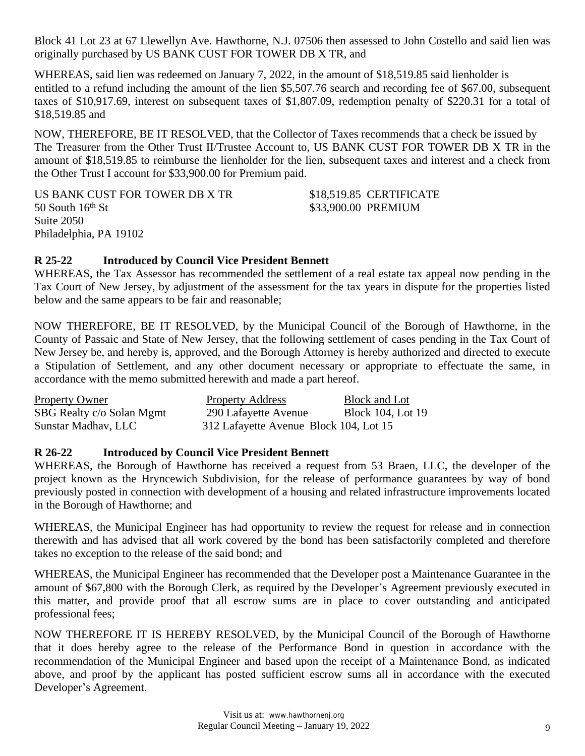Block 41 Lot 23 at 67 Llewellyn Ave. Hawthorne, N.J. 07506 then assessed to John Costello and said lien was originally purchased by US BANK CUST FOR TOWER DB X TR, and

WHEREAS, said lien was redeemed on January 7, 2022, in the amount of \$18,519.85 said lienholder is entitled to a refund including the amount of the lien \$5,507.76 search and recording fee of \$67.00, subsequent taxes of \$10,917.69, interest on subsequent taxes of \$1,807.09, redemption penalty of \$220.31 for a total of \$18,519.85 and

NOW, THEREFORE, BE IT RESOLVED, that the Collector of Taxes recommends that a check be issued by The Treasurer from the Other Trust II/Trustee Account to, US BANK CUST FOR TOWER DB X TR in the amount of \$18,519.85 to reimburse the lienholder for the lien, subsequent taxes and interest and a check from the Other Trust I account for \$33,900.00 for Premium paid.

US BANK CUST FOR TOWER DB X TR<br>\$18,519.85 CERTIFICATE 50 South 16<sup>th</sup> St  $$33,900.00$  PREMIUM Suite 2050 Philadelphia, PA 19102

## **R 25-22 Introduced by Council Vice President Bennett**

WHEREAS, the Tax Assessor has recommended the settlement of a real estate tax appeal now pending in the Tax Court of New Jersey, by adjustment of the assessment for the tax years in dispute for the properties listed below and the same appears to be fair and reasonable;

NOW THEREFORE, BE IT RESOLVED, by the Municipal Council of the Borough of Hawthorne, in the County of Passaic and State of New Jersey, that the following settlement of cases pending in the Tax Court of New Jersey be, and hereby is, approved, and the Borough Attorney is hereby authorized and directed to execute a Stipulation of Settlement, and any other document necessary or appropriate to effectuate the same, in accordance with the memo submitted herewith and made a part hereof.

| <b>Property Owner</b>     | <b>Property Address</b>                | Block and Lot            |
|---------------------------|----------------------------------------|--------------------------|
| SBG Realty c/o Solan Mgmt | 290 Lafayette Avenue                   | <b>Block 104, Lot 19</b> |
| Sunstar Madhav, LLC       | 312 Lafayette Avenue Block 104, Lot 15 |                          |

## **R 26-22 Introduced by Council Vice President Bennett**

WHEREAS, the Borough of Hawthorne has received a request from 53 Braen, LLC, the developer of the project known as the Hryncewich Subdivision, for the release of performance guarantees by way of bond previously posted in connection with development of a housing and related infrastructure improvements located in the Borough of Hawthorne; and

WHEREAS, the Municipal Engineer has had opportunity to review the request for release and in connection therewith and has advised that all work covered by the bond has been satisfactorily completed and therefore takes no exception to the release of the said bond; and

WHEREAS, the Municipal Engineer has recommended that the Developer post a Maintenance Guarantee in the amount of \$67,800 with the Borough Clerk, as required by the Developer's Agreement previously executed in this matter, and provide proof that all escrow sums are in place to cover outstanding and anticipated professional fees;

NOW THEREFORE IT IS HEREBY RESOLVED, by the Municipal Council of the Borough of Hawthorne that it does hereby agree to the release of the Performance Bond in question in accordance with the recommendation of the Municipal Engineer and based upon the receipt of a Maintenance Bond, as indicated above, and proof by the applicant has posted sufficient escrow sums all in accordance with the executed Developer's Agreement.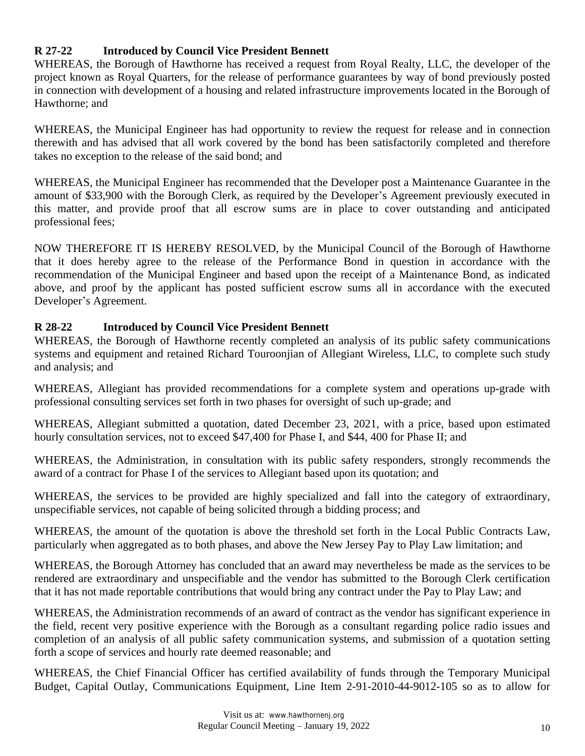## **R 27-22 Introduced by Council Vice President Bennett**

WHEREAS, the Borough of Hawthorne has received a request from Royal Realty, LLC, the developer of the project known as Royal Quarters, for the release of performance guarantees by way of bond previously posted in connection with development of a housing and related infrastructure improvements located in the Borough of Hawthorne; and

WHEREAS, the Municipal Engineer has had opportunity to review the request for release and in connection therewith and has advised that all work covered by the bond has been satisfactorily completed and therefore takes no exception to the release of the said bond; and

WHEREAS, the Municipal Engineer has recommended that the Developer post a Maintenance Guarantee in the amount of \$33,900 with the Borough Clerk, as required by the Developer's Agreement previously executed in this matter, and provide proof that all escrow sums are in place to cover outstanding and anticipated professional fees;

NOW THEREFORE IT IS HEREBY RESOLVED, by the Municipal Council of the Borough of Hawthorne that it does hereby agree to the release of the Performance Bond in question in accordance with the recommendation of the Municipal Engineer and based upon the receipt of a Maintenance Bond, as indicated above, and proof by the applicant has posted sufficient escrow sums all in accordance with the executed Developer's Agreement.

## **R 28-22 Introduced by Council Vice President Bennett**

WHEREAS, the Borough of Hawthorne recently completed an analysis of its public safety communications systems and equipment and retained Richard Touroonjian of Allegiant Wireless, LLC, to complete such study and analysis; and

WHEREAS, Allegiant has provided recommendations for a complete system and operations up-grade with professional consulting services set forth in two phases for oversight of such up-grade; and

WHEREAS, Allegiant submitted a quotation, dated December 23, 2021, with a price, based upon estimated hourly consultation services, not to exceed \$47,400 for Phase I, and \$44, 400 for Phase II; and

WHEREAS, the Administration, in consultation with its public safety responders, strongly recommends the award of a contract for Phase I of the services to Allegiant based upon its quotation; and

WHEREAS, the services to be provided are highly specialized and fall into the category of extraordinary, unspecifiable services, not capable of being solicited through a bidding process; and

WHEREAS, the amount of the quotation is above the threshold set forth in the Local Public Contracts Law, particularly when aggregated as to both phases, and above the New Jersey Pay to Play Law limitation; and

WHEREAS, the Borough Attorney has concluded that an award may nevertheless be made as the services to be rendered are extraordinary and unspecifiable and the vendor has submitted to the Borough Clerk certification that it has not made reportable contributions that would bring any contract under the Pay to Play Law; and

WHEREAS, the Administration recommends of an award of contract as the vendor has significant experience in the field, recent very positive experience with the Borough as a consultant regarding police radio issues and completion of an analysis of all public safety communication systems, and submission of a quotation setting forth a scope of services and hourly rate deemed reasonable; and

WHEREAS, the Chief Financial Officer has certified availability of funds through the Temporary Municipal Budget, Capital Outlay, Communications Equipment, Line Item 2-91-2010-44-9012-105 so as to allow for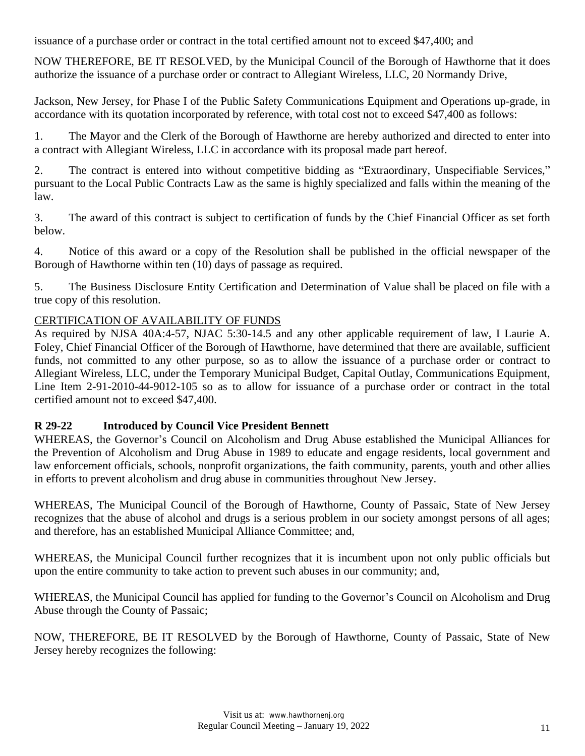issuance of a purchase order or contract in the total certified amount not to exceed \$47,400; and

NOW THEREFORE, BE IT RESOLVED, by the Municipal Council of the Borough of Hawthorne that it does authorize the issuance of a purchase order or contract to Allegiant Wireless, LLC, 20 Normandy Drive,

Jackson, New Jersey, for Phase I of the Public Safety Communications Equipment and Operations up-grade, in accordance with its quotation incorporated by reference, with total cost not to exceed \$47,400 as follows:

1. The Mayor and the Clerk of the Borough of Hawthorne are hereby authorized and directed to enter into a contract with Allegiant Wireless, LLC in accordance with its proposal made part hereof.

2. The contract is entered into without competitive bidding as "Extraordinary, Unspecifiable Services," pursuant to the Local Public Contracts Law as the same is highly specialized and falls within the meaning of the law.

3. The award of this contract is subject to certification of funds by the Chief Financial Officer as set forth below.

4. Notice of this award or a copy of the Resolution shall be published in the official newspaper of the Borough of Hawthorne within ten (10) days of passage as required.

5. The Business Disclosure Entity Certification and Determination of Value shall be placed on file with a true copy of this resolution.

## CERTIFICATION OF AVAILABILITY OF FUNDS

As required by NJSA 40A:4-57, NJAC 5:30-14.5 and any other applicable requirement of law, I Laurie A. Foley, Chief Financial Officer of the Borough of Hawthorne, have determined that there are available, sufficient funds, not committed to any other purpose, so as to allow the issuance of a purchase order or contract to Allegiant Wireless, LLC, under the Temporary Municipal Budget, Capital Outlay, Communications Equipment, Line Item 2-91-2010-44-9012-105 so as to allow for issuance of a purchase order or contract in the total certified amount not to exceed \$47,400.

## **R 29-22 Introduced by Council Vice President Bennett**

WHEREAS, the Governor's Council on Alcoholism and Drug Abuse established the Municipal Alliances for the Prevention of Alcoholism and Drug Abuse in 1989 to educate and engage residents, local government and law enforcement officials, schools, nonprofit organizations, the faith community, parents, youth and other allies in efforts to prevent alcoholism and drug abuse in communities throughout New Jersey.

WHEREAS, The Municipal Council of the Borough of Hawthorne, County of Passaic, State of New Jersey recognizes that the abuse of alcohol and drugs is a serious problem in our society amongst persons of all ages; and therefore, has an established Municipal Alliance Committee; and,

WHEREAS, the Municipal Council further recognizes that it is incumbent upon not only public officials but upon the entire community to take action to prevent such abuses in our community; and,

WHEREAS, the Municipal Council has applied for funding to the Governor's Council on Alcoholism and Drug Abuse through the County of Passaic;

NOW, THEREFORE, BE IT RESOLVED by the Borough of Hawthorne, County of Passaic, State of New Jersey hereby recognizes the following: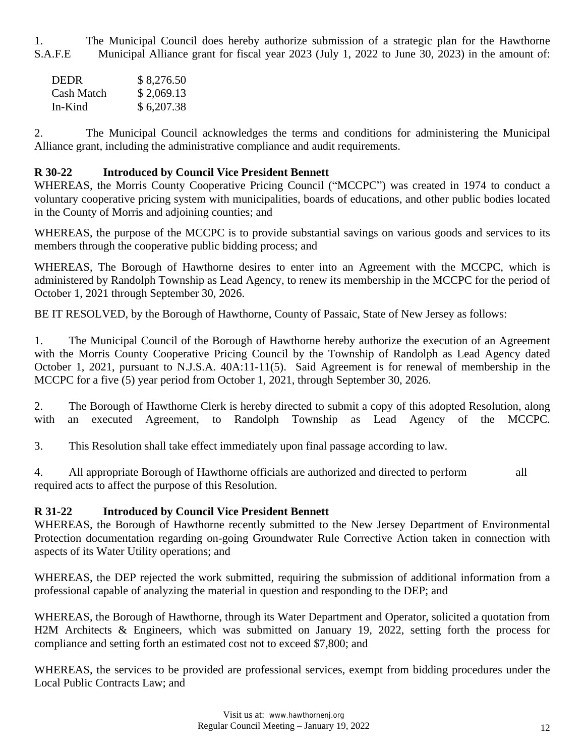1. The Municipal Council does hereby authorize submission of a strategic plan for the Hawthorne S.A.F.E Municipal Alliance grant for fiscal year 2023 (July 1, 2022 to June 30, 2023) in the amount of:

| <b>DEDR</b> | \$8,276.50 |
|-------------|------------|
| Cash Match  | \$2,069.13 |
| In-Kind     | \$6,207.38 |

2. The Municipal Council acknowledges the terms and conditions for administering the Municipal Alliance grant, including the administrative compliance and audit requirements.

## **R 30-22 Introduced by Council Vice President Bennett**

WHEREAS, the Morris County Cooperative Pricing Council ("MCCPC") was created in 1974 to conduct a voluntary cooperative pricing system with municipalities, boards of educations, and other public bodies located in the County of Morris and adjoining counties; and

WHEREAS, the purpose of the MCCPC is to provide substantial savings on various goods and services to its members through the cooperative public bidding process; and

WHEREAS, The Borough of Hawthorne desires to enter into an Agreement with the MCCPC, which is administered by Randolph Township as Lead Agency, to renew its membership in the MCCPC for the period of October 1, 2021 through September 30, 2026.

BE IT RESOLVED, by the Borough of Hawthorne, County of Passaic, State of New Jersey as follows:

1. The Municipal Council of the Borough of Hawthorne hereby authorize the execution of an Agreement with the Morris County Cooperative Pricing Council by the Township of Randolph as Lead Agency dated October 1, 2021, pursuant to N.J.S.A. 40A:11-11(5). Said Agreement is for renewal of membership in the MCCPC for a five (5) year period from October 1, 2021, through September 30, 2026.

2. The Borough of Hawthorne Clerk is hereby directed to submit a copy of this adopted Resolution, along with an executed Agreement, to Randolph Township as Lead Agency of the MCCPC.

3. This Resolution shall take effect immediately upon final passage according to law.

4. All appropriate Borough of Hawthorne officials are authorized and directed to perform all required acts to affect the purpose of this Resolution.

## **R 31-22 Introduced by Council Vice President Bennett**

WHEREAS, the Borough of Hawthorne recently submitted to the New Jersey Department of Environmental Protection documentation regarding on-going Groundwater Rule Corrective Action taken in connection with aspects of its Water Utility operations; and

WHEREAS, the DEP rejected the work submitted, requiring the submission of additional information from a professional capable of analyzing the material in question and responding to the DEP; and

WHEREAS, the Borough of Hawthorne, through its Water Department and Operator, solicited a quotation from H2M Architects & Engineers, which was submitted on January 19, 2022, setting forth the process for compliance and setting forth an estimated cost not to exceed \$7,800; and

WHEREAS, the services to be provided are professional services, exempt from bidding procedures under the Local Public Contracts Law; and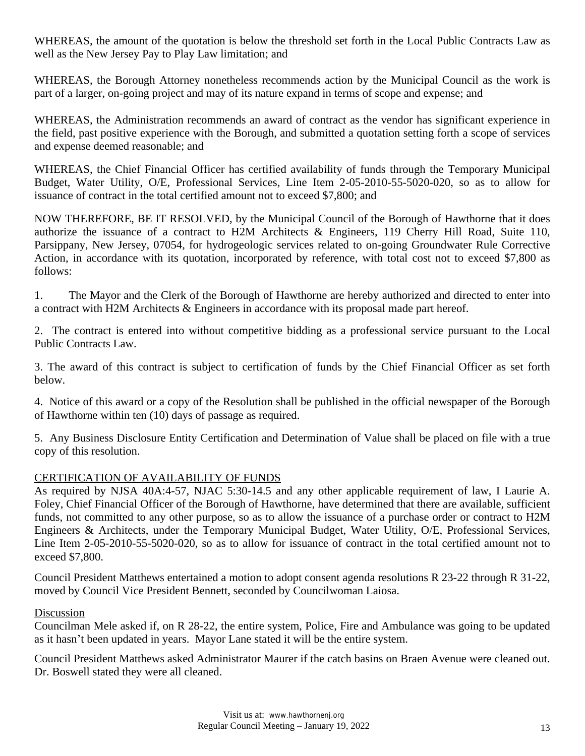WHEREAS, the amount of the quotation is below the threshold set forth in the Local Public Contracts Law as well as the New Jersey Pay to Play Law limitation; and

WHEREAS, the Borough Attorney nonetheless recommends action by the Municipal Council as the work is part of a larger, on-going project and may of its nature expand in terms of scope and expense; and

WHEREAS, the Administration recommends an award of contract as the vendor has significant experience in the field, past positive experience with the Borough, and submitted a quotation setting forth a scope of services and expense deemed reasonable; and

WHEREAS, the Chief Financial Officer has certified availability of funds through the Temporary Municipal Budget, Water Utility, O/E, Professional Services, Line Item 2-05-2010-55-5020-020, so as to allow for issuance of contract in the total certified amount not to exceed \$7,800; and

NOW THEREFORE, BE IT RESOLVED, by the Municipal Council of the Borough of Hawthorne that it does authorize the issuance of a contract to H2M Architects & Engineers, 119 Cherry Hill Road, Suite 110, Parsippany, New Jersey, 07054, for hydrogeologic services related to on-going Groundwater Rule Corrective Action, in accordance with its quotation, incorporated by reference, with total cost not to exceed \$7,800 as follows:

1. The Mayor and the Clerk of the Borough of Hawthorne are hereby authorized and directed to enter into a contract with H2M Architects & Engineers in accordance with its proposal made part hereof.

2. The contract is entered into without competitive bidding as a professional service pursuant to the Local Public Contracts Law.

3. The award of this contract is subject to certification of funds by the Chief Financial Officer as set forth below.

4. Notice of this award or a copy of the Resolution shall be published in the official newspaper of the Borough of Hawthorne within ten (10) days of passage as required.

5. Any Business Disclosure Entity Certification and Determination of Value shall be placed on file with a true copy of this resolution.

## CERTIFICATION OF AVAILABILITY OF FUNDS

As required by NJSA 40A:4-57, NJAC 5:30-14.5 and any other applicable requirement of law, I Laurie A. Foley, Chief Financial Officer of the Borough of Hawthorne, have determined that there are available, sufficient funds, not committed to any other purpose, so as to allow the issuance of a purchase order or contract to H2M Engineers & Architects, under the Temporary Municipal Budget, Water Utility, O/E, Professional Services, Line Item 2-05-2010-55-5020-020, so as to allow for issuance of contract in the total certified amount not to exceed \$7,800.

Council President Matthews entertained a motion to adopt consent agenda resolutions R 23-22 through R 31-22, moved by Council Vice President Bennett, seconded by Councilwoman Laiosa.

#### Discussion

Councilman Mele asked if, on R 28-22, the entire system, Police, Fire and Ambulance was going to be updated as it hasn't been updated in years. Mayor Lane stated it will be the entire system.

Council President Matthews asked Administrator Maurer if the catch basins on Braen Avenue were cleaned out. Dr. Boswell stated they were all cleaned.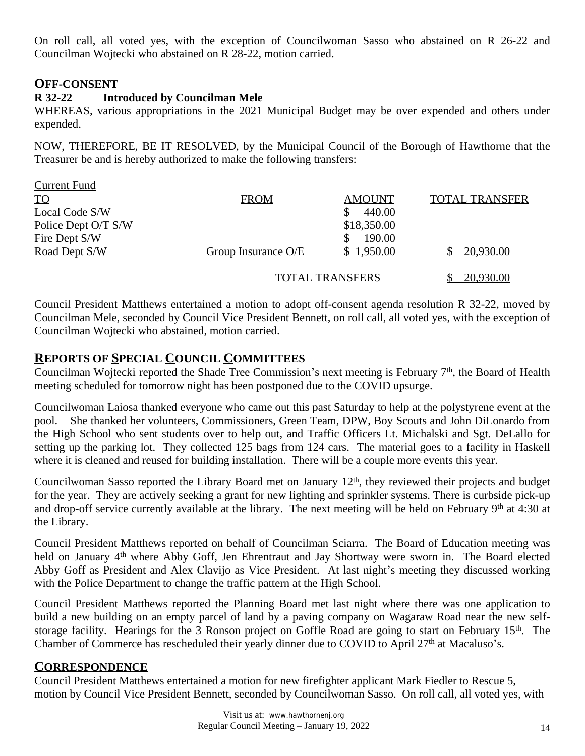On roll call, all voted yes, with the exception of Councilwoman Sasso who abstained on R 26-22 and Councilman Wojtecki who abstained on R 28-22, motion carried.

#### **OFF-CONSENT**

## **R 32-22 Introduced by Councilman Mele**

WHEREAS, various appropriations in the 2021 Municipal Budget may be over expended and others under expended.

NOW, THEREFORE, BE IT RESOLVED, by the Municipal Council of the Borough of Hawthorne that the Treasurer be and is hereby authorized to make the following transfers:

| <b>Current Fund</b> |                     |                        |                       |
|---------------------|---------------------|------------------------|-----------------------|
| <b>TO</b>           | <b>FROM</b>         | <b>AMOUNT</b>          | <b>TOTAL TRANSFER</b> |
| Local Code S/W      |                     | 440.00                 |                       |
| Police Dept O/T S/W |                     | \$18,350.00            |                       |
| Fire Dept S/W       |                     | 190.00                 |                       |
| Road Dept S/W       | Group Insurance O/E | \$1,950.00             | 20,930.00             |
|                     |                     | <b>TOTAL TRANSFERS</b> | 20,930.00             |

Council President Matthews entertained a motion to adopt off-consent agenda resolution R 32-22, moved by Councilman Mele, seconded by Council Vice President Bennett, on roll call, all voted yes, with the exception of Councilman Wojtecki who abstained, motion carried.

# **REPORTS OF SPECIAL COUNCIL COMMITTEES**

Councilman Wojtecki reported the Shade Tree Commission's next meeting is February 7<sup>th</sup>, the Board of Health meeting scheduled for tomorrow night has been postponed due to the COVID upsurge.

Councilwoman Laiosa thanked everyone who came out this past Saturday to help at the polystyrene event at the pool. She thanked her volunteers, Commissioners, Green Team, DPW, Boy Scouts and John DiLonardo from the High School who sent students over to help out, and Traffic Officers Lt. Michalski and Sgt. DeLallo for setting up the parking lot. They collected 125 bags from 124 cars. The material goes to a facility in Haskell where it is cleaned and reused for building installation. There will be a couple more events this year.

Councilwoman Sasso reported the Library Board met on January 12<sup>th</sup>, they reviewed their projects and budget for the year. They are actively seeking a grant for new lighting and sprinkler systems. There is curbside pick-up and drop-off service currently available at the library. The next meeting will be held on February 9<sup>th</sup> at 4:30 at the Library.

Council President Matthews reported on behalf of Councilman Sciarra. The Board of Education meeting was held on January 4<sup>th</sup> where Abby Goff, Jen Ehrentraut and Jay Shortway were sworn in. The Board elected Abby Goff as President and Alex Clavijo as Vice President. At last night's meeting they discussed working with the Police Department to change the traffic pattern at the High School.

Council President Matthews reported the Planning Board met last night where there was one application to build a new building on an empty parcel of land by a paving company on Wagaraw Road near the new selfstorage facility. Hearings for the 3 Ronson project on Goffle Road are going to start on February 15<sup>th</sup>. The Chamber of Commerce has rescheduled their yearly dinner due to COVID to April 27<sup>th</sup> at Macaluso's.

## **CORRESPONDENCE**

Council President Matthews entertained a motion for new firefighter applicant Mark Fiedler to Rescue 5, motion by Council Vice President Bennett, seconded by Councilwoman Sasso. On roll call, all voted yes, with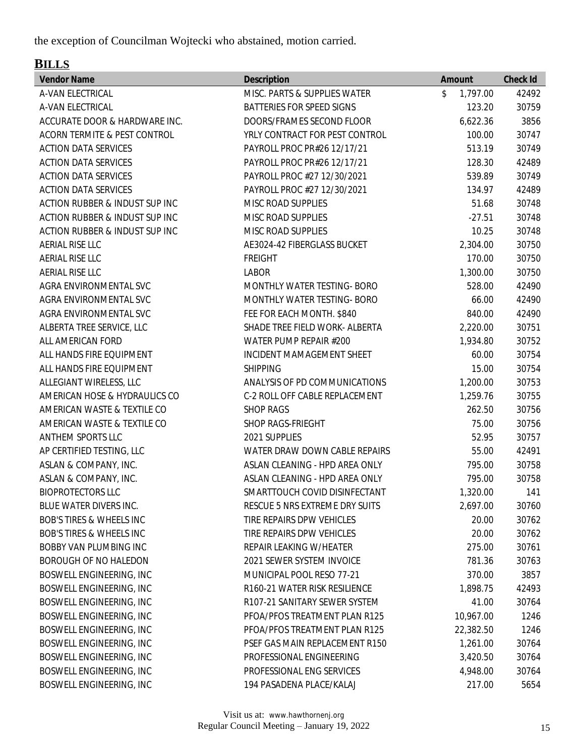the exception of Councilman Wojtecki who abstained, motion carried.

# **BILLS**

| <b>Vendor Name</b>                  | <b>Description</b>               | <b>Amount</b> |           | <b>Check Id</b> |
|-------------------------------------|----------------------------------|---------------|-----------|-----------------|
| A-VAN ELECTRICAL                    | MISC. PARTS & SUPPLIES WATER     | \$            | 1,797.00  | 42492           |
| A-VAN ELECTRICAL                    | <b>BATTERIES FOR SPEED SIGNS</b> |               | 123.20    | 30759           |
| ACCURATE DOOR & HARDWARE INC.       | DOORS/FRAMES SECOND FLOOR        |               | 6,622.36  | 3856            |
| ACORN TERMITE & PEST CONTROL        | YRLY CONTRACT FOR PEST CONTROL   |               | 100.00    | 30747           |
| <b>ACTION DATA SERVICES</b>         | PAYROLL PROC PR#26 12/17/21      |               | 513.19    | 30749           |
| <b>ACTION DATA SERVICES</b>         | PAYROLL PROC PR#26 12/17/21      |               | 128.30    | 42489           |
| <b>ACTION DATA SERVICES</b>         | PAYROLL PROC #27 12/30/2021      |               | 539.89    | 30749           |
| <b>ACTION DATA SERVICES</b>         | PAYROLL PROC #27 12/30/2021      |               | 134.97    | 42489           |
| ACTION RUBBER & INDUST SUP INC      | MISC ROAD SUPPLIES               |               | 51.68     | 30748           |
| ACTION RUBBER & INDUST SUP INC      | MISC ROAD SUPPLIES               |               | $-27.51$  | 30748           |
| ACTION RUBBER & INDUST SUP INC      | MISC ROAD SUPPLIES               |               | 10.25     | 30748           |
| AERIAL RISE LLC                     | AE3024-42 FIBERGLASS BUCKET      |               | 2,304.00  | 30750           |
| AERIAL RISE LLC                     | <b>FREIGHT</b>                   |               | 170.00    | 30750           |
| AERIAL RISE LLC                     | <b>LABOR</b>                     |               | 1,300.00  | 30750           |
| AGRA ENVIRONMENTAL SVC              | MONTHLY WATER TESTING- BORO      |               | 528.00    | 42490           |
| AGRA ENVIRONMENTAL SVC              | MONTHLY WATER TESTING- BORO      |               | 66.00     | 42490           |
| AGRA ENVIRONMENTAL SVC              | FEE FOR EACH MONTH. \$840        |               | 840.00    | 42490           |
| ALBERTA TREE SERVICE, LLC           | SHADE TREE FIELD WORK- ALBERTA   |               | 2,220.00  | 30751           |
| ALL AMERICAN FORD                   | WATER PUMP REPAIR #200           |               | 1,934.80  | 30752           |
| ALL HANDS FIRE EQUIPMENT            | INCIDENT MAMAGEMENT SHEET        |               | 60.00     | 30754           |
| ALL HANDS FIRE EQUIPMENT            | <b>SHIPPING</b>                  |               | 15.00     | 30754           |
| ALLEGIANT WIRELESS, LLC             | ANALYSIS OF PD COMMUNICATIONS    |               | 1,200.00  | 30753           |
| AMERICAN HOSE & HYDRAULICS CO       | C-2 ROLL OFF CABLE REPLACEMENT   |               | 1,259.76  | 30755           |
| AMERICAN WASTE & TEXTILE CO         | <b>SHOP RAGS</b>                 |               | 262.50    | 30756           |
| AMERICAN WASTE & TEXTILE CO         | SHOP RAGS-FRIEGHT                |               | 75.00     | 30756           |
| ANTHEM SPORTS LLC                   | 2021 SUPPLIES                    |               | 52.95     | 30757           |
| AP CERTIFIED TESTING, LLC           | WATER DRAW DOWN CABLE REPAIRS    |               | 55.00     | 42491           |
| ASLAN & COMPANY, INC.               | ASLAN CLEANING - HPD AREA ONLY   |               | 795.00    | 30758           |
| ASLAN & COMPANY, INC.               | ASLAN CLEANING - HPD AREA ONLY   |               | 795.00    | 30758           |
| <b>BIOPROTECTORS LLC</b>            | SMARTTOUCH COVID DISINFECTANT    |               | 1,320.00  | 141             |
| BLUE WATER DIVERS INC.              | RESCUE 5 NRS EXTREME DRY SUITS   |               | 2,697.00  | 30760           |
| <b>BOB'S TIRES &amp; WHEELS INC</b> | TIRE REPAIRS DPW VEHICLES        |               | 20.00     | 30762           |
| <b>BOB'S TIRES &amp; WHEELS INC</b> | TIRE REPAIRS DPW VEHICLES        |               | 20.00     | 30762           |
| BOBBY VAN PLUMBING INC              | REPAIR LEAKING W/HEATER          |               | 275.00    | 30761           |
| <b>BOROUGH OF NO HALEDON</b>        | 2021 SEWER SYSTEM INVOICE        |               | 781.36    | 30763           |
| <b>BOSWELL ENGINEERING, INC</b>     | MUNICIPAL POOL RESO 77-21        |               | 370.00    | 3857            |
| <b>BOSWELL ENGINEERING, INC</b>     | R160-21 WATER RISK RESILIENCE    |               | 1,898.75  | 42493           |
| <b>BOSWELL ENGINEERING, INC</b>     | R107-21 SANITARY SEWER SYSTEM    |               | 41.00     | 30764           |
| BOSWELL ENGINEERING, INC            | PFOA/PFOS TREATMENT PLAN R125    |               | 10,967.00 | 1246            |
| <b>BOSWELL ENGINEERING, INC</b>     | PFOA/PFOS TREATMENT PLAN R125    |               | 22,382.50 | 1246            |
| <b>BOSWELL ENGINEERING, INC</b>     | PSEF GAS MAIN REPLACEMENT R150   |               | 1,261.00  | 30764           |
| <b>BOSWELL ENGINEERING, INC</b>     | PROFESSIONAL ENGINEERING         |               | 3,420.50  | 30764           |
| <b>BOSWELL ENGINEERING, INC</b>     | PROFESSIONAL ENG SERVICES        |               | 4,948.00  | 30764           |
| BOSWELL ENGINEERING, INC            | 194 PASADENA PLACE/KALAJ         |               | 217.00    | 5654            |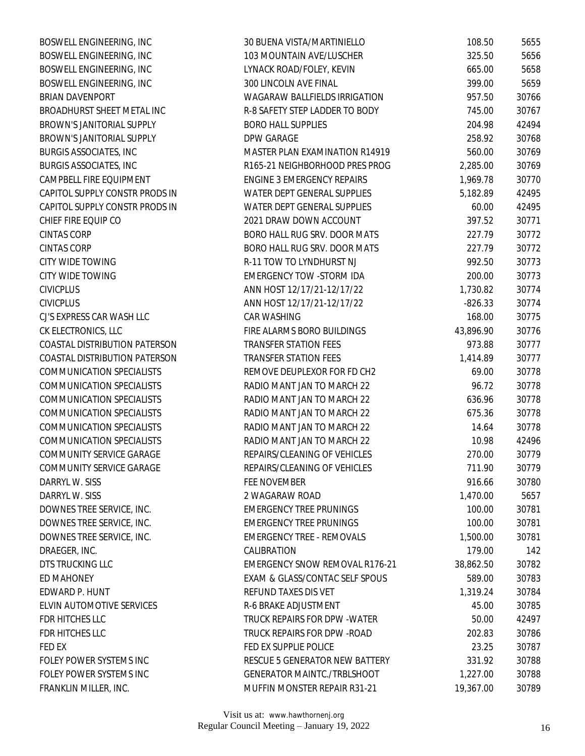| <b>BOSWELL ENGINEERING, INC</b>  | 30 BUENA VISTA/MARTINIELLO            | 108.50    | 5655  |
|----------------------------------|---------------------------------------|-----------|-------|
| <b>BOSWELL ENGINEERING, INC</b>  | 103 MOUNTAIN AVE/LUSCHER              | 325.50    | 5656  |
| BOSWELL ENGINEERING, INC         | LYNACK ROAD/FOLEY, KEVIN              | 665.00    | 5658  |
| BOSWELL ENGINEERING, INC         | 300 LINCOLN AVE FINAL                 | 399.00    | 5659  |
| BRIAN DAVENPORT                  | <b>WAGARAW BALLFIELDS IRRIGATION</b>  | 957.50    | 30766 |
| BROADHURST SHEET METAL INC       | R-8 SAFETY STEP LADDER TO BODY        | 745.00    | 30767 |
| BROWN'S JANITORIAL SUPPLY        | <b>BORO HALL SUPPLIES</b>             | 204.98    | 42494 |
| BROWN'S JANITORIAL SUPPLY        | DPW GARAGE                            | 258.92    | 30768 |
| <b>BURGIS ASSOCIATES, INC</b>    | MASTER PLAN EXAMINATION R14919        | 560.00    | 30769 |
| <b>BURGIS ASSOCIATES, INC</b>    | R165-21 NEIGHBORHOOD PRES PROG        | 2,285.00  | 30769 |
| CAMPBELL FIRE EQUIPMENT          | <b>ENGINE 3 EMERGENCY REPAIRS</b>     | 1,969.78  | 30770 |
| CAPITOL SUPPLY CONSTR PRODS IN   | WATER DEPT GENERAL SUPPLIES           | 5,182.89  | 42495 |
| CAPITOL SUPPLY CONSTR PRODS IN   | WATER DEPT GENERAL SUPPLIES           | 60.00     | 42495 |
| CHIEF FIRE EQUIP CO              | 2021 DRAW DOWN ACCOUNT                | 397.52    | 30771 |
| <b>CINTAS CORP</b>               | BORO HALL RUG SRV. DOOR MATS          | 227.79    | 30772 |
| <b>CINTAS CORP</b>               | BORO HALL RUG SRV. DOOR MATS          | 227.79    | 30772 |
| <b>CITY WIDE TOWING</b>          | R-11 TOW TO LYNDHURST NJ              | 992.50    | 30773 |
| CITY WIDE TOWING                 | <b>EMERGENCY TOW -STORM IDA</b>       | 200.00    | 30773 |
| <b>CIVICPLUS</b>                 | ANN HOST 12/17/21-12/17/22            | 1,730.82  | 30774 |
| <b>CIVICPLUS</b>                 | ANN HOST 12/17/21-12/17/22            | $-826.33$ | 30774 |
| CJ'S EXPRESS CAR WASH LLC        | CAR WASHING                           | 168.00    | 30775 |
| CK ELECTRONICS, LLC              | FIRE ALARMS BORO BUILDINGS            | 43,896.90 | 30776 |
| COASTAL DISTRIBUTION PATERSON    | <b>TRANSFER STATION FEES</b>          | 973.88    | 30777 |
| COASTAL DISTRIBUTION PATERSON    | <b>TRANSFER STATION FEES</b>          | 1,414.89  | 30777 |
| <b>COMMUNICATION SPECIALISTS</b> | REMOVE DEUPLEXOR FOR FD CH2           | 69.00     | 30778 |
| <b>COMMUNICATION SPECIALISTS</b> | RADIO MANT JAN TO MARCH 22            | 96.72     | 30778 |
| <b>COMMUNICATION SPECIALISTS</b> | RADIO MANT JAN TO MARCH 22            | 636.96    | 30778 |
| <b>COMMUNICATION SPECIALISTS</b> | RADIO MANT JAN TO MARCH 22            | 675.36    | 30778 |
| <b>COMMUNICATION SPECIALISTS</b> | RADIO MANT JAN TO MARCH 22            | 14.64     | 30778 |
| <b>COMMUNICATION SPECIALISTS</b> | RADIO MANT JAN TO MARCH 22            | 10.98     | 42496 |
| COMMUNITY SERVICE GARAGE         | REPAIRS/CLEANING OF VEHICLES          | 270.00    | 30779 |
| COMMUNITY SERVICE GARAGE         | REPAIRS/CLEANING OF VEHICLES          | 711.90    | 30779 |
| DARRYL W. SISS                   | <b>FEE NOVEMBER</b>                   | 916.66    | 30780 |
| DARRYL W. SISS                   | 2 WAGARAW ROAD                        | 1,470.00  | 5657  |
| DOWNES TREE SERVICE, INC.        | <b>EMERGENCY TREE PRUNINGS</b>        | 100.00    | 30781 |
| DOWNES TREE SERVICE, INC.        | <b>EMERGENCY TREE PRUNINGS</b>        | 100.00    | 30781 |
| DOWNES TREE SERVICE, INC.        | <b>EMERGENCY TREE - REMOVALS</b>      | 1,500.00  | 30781 |
| DRAEGER, INC.                    | CALIBRATION                           | 179.00    | 142   |
| DTS TRUCKING LLC                 | <b>EMERGENCY SNOW REMOVAL R176-21</b> | 38,862.50 | 30782 |
| ED MAHONEY                       | EXAM & GLASS/CONTAC SELF SPOUS        | 589.00    | 30783 |
| EDWARD P. HUNT                   | REFUND TAXES DIS VET                  | 1,319.24  | 30784 |
| ELVIN AUTOMOTIVE SERVICES        | R-6 BRAKE ADJUSTMENT                  | 45.00     | 30785 |
| FDR HITCHES LLC                  | TRUCK REPAIRS FOR DPW - WATER         | 50.00     | 42497 |
| FDR HITCHES LLC                  | TRUCK REPAIRS FOR DPW - ROAD          | 202.83    | 30786 |
| FED EX                           | FED EX SUPPLIE POLICE                 | 23.25     | 30787 |
| FOLEY POWER SYSTEMS INC          | RESCUE 5 GENERATOR NEW BATTERY        | 331.92    | 30788 |
| FOLEY POWER SYSTEMS INC          | <b>GENERATOR MAINTC./TRBLSHOOT</b>    | 1,227.00  | 30788 |
| FRANKLIN MILLER, INC.            | MUFFIN MONSTER REPAIR R31-21          | 19,367.00 | 30789 |
|                                  |                                       |           |       |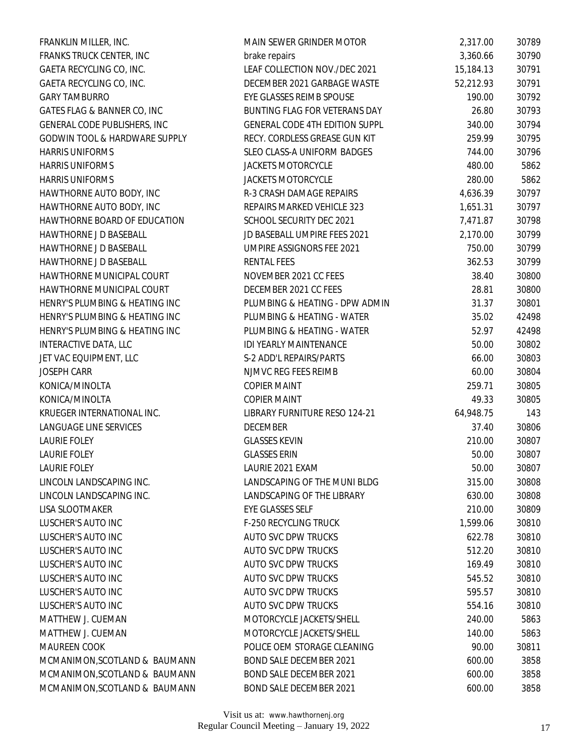| FRANKLIN MILLER, INC.                    | MAIN SEWER GRINDER MOTOR              | 2,317.00  | 30789 |
|------------------------------------------|---------------------------------------|-----------|-------|
| FRANKS TRUCK CENTER, INC                 | brake repairs                         | 3,360.66  | 30790 |
| GAETA RECYCLING CO, INC.                 | LEAF COLLECTION NOV./DEC 2021         | 15,184.13 | 30791 |
| GAETA RECYCLING CO, INC.                 | DECEMBER 2021 GARBAGE WASTE           | 52,212.93 | 30791 |
| <b>GARY TAMBURRO</b>                     | EYE GLASSES REIMB SPOUSE              | 190.00    | 30792 |
| GATES FLAG & BANNER CO, INC              | BUNTING FLAG FOR VETERANS DAY         | 26.80     | 30793 |
| GENERAL CODE PUBLISHERS, INC             | <b>GENERAL CODE 4TH EDITION SUPPL</b> | 340.00    | 30794 |
| <b>GODWIN TOOL &amp; HARDWARE SUPPLY</b> | RECY. CORDLESS GREASE GUN KIT         | 259.99    | 30795 |
| <b>HARRIS UNIFORMS</b>                   | SLEO CLASS-A UNIFORM BADGES           | 744.00    | 30796 |
| <b>HARRIS UNIFORMS</b>                   | JACKETS MOTORCYCLE                    | 480.00    | 5862  |
| <b>HARRIS UNIFORMS</b>                   | JACKETS MOTORCYCLE                    | 280.00    | 5862  |
| HAWTHORNE AUTO BODY, INC                 | R-3 CRASH DAMAGE REPAIRS              | 4,636.39  | 30797 |
| HAWTHORNE AUTO BODY, INC                 | REPAIRS MARKED VEHICLE 323            | 1,651.31  | 30797 |
| HAWTHORNE BOARD OF EDUCATION             | SCHOOL SECURITY DEC 2021              | 7,471.87  | 30798 |
| HAWTHORNE J D BASEBALL                   | JD BASEBALL UMPIRE FEES 2021          | 2,170.00  | 30799 |
| HAWTHORNE J D BASEBALL                   | <b>UMPIRE ASSIGNORS FEE 2021</b>      | 750.00    | 30799 |
| HAWTHORNE J D BASEBALL                   | <b>RENTAL FEES</b>                    | 362.53    | 30799 |
| HAWTHORNE MUNICIPAL COURT                | NOVEMBER 2021 CC FEES                 | 38.40     | 30800 |
| HAWTHORNE MUNICIPAL COURT                | DECEMBER 2021 CC FEES                 | 28.81     | 30800 |
| HENRY'S PLUMBING & HEATING INC           | PLUMBING & HEATING - DPW ADMIN        | 31.37     | 30801 |
| HENRY'S PLUMBING & HEATING INC           | PLUMBING & HEATING - WATER            | 35.02     | 42498 |
| HENRY'S PLUMBING & HEATING INC           | PLUMBING & HEATING - WATER            | 52.97     | 42498 |
| INTERACTIVE DATA, LLC                    | IDI YEARLY MAINTENANCE                | 50.00     | 30802 |
| JET VAC EQUIPMENT, LLC                   | S-2 ADD'L REPAIRS/PARTS               | 66.00     | 30803 |
| <b>JOSEPH CARR</b>                       | NJMVC REG FEES REIMB                  | 60.00     | 30804 |
| KONICA/MINOLTA                           | <b>COPIER MAINT</b>                   | 259.71    | 30805 |
| KONICA/MINOLTA                           | <b>COPIER MAINT</b>                   | 49.33     | 30805 |
| KRUEGER INTERNATIONAL INC.               | LIBRARY FURNITURE RESO 124-21         | 64,948.75 | 143   |
| LANGUAGE LINE SERVICES                   | <b>DECEMBER</b>                       | 37.40     | 30806 |
| <b>LAURIE FOLEY</b>                      | <b>GLASSES KEVIN</b>                  | 210.00    | 30807 |
| <b>LAURIE FOLEY</b>                      | <b>GLASSES ERIN</b>                   | 50.00     | 30807 |
| <b>LAURIE FOLEY</b>                      | LAURIE 2021 EXAM                      | 50.00     | 30807 |
| LINCOLN LANDSCAPING INC.                 | LANDSCAPING OF THE MUNI BLDG          | 315.00    | 30808 |
| LINCOLN LANDSCAPING INC.                 | LANDSCAPING OF THE LIBRARY            | 630.00    | 30808 |
| LISA SLOOTMAKER                          | EYE GLASSES SELF                      | 210.00    | 30809 |
| LUSCHER'S AUTO INC                       | F-250 RECYCLING TRUCK                 | 1,599.06  | 30810 |
| LUSCHER'S AUTO INC                       | <b>AUTO SVC DPW TRUCKS</b>            | 622.78    | 30810 |
| LUSCHER'S AUTO INC                       | AUTO SVC DPW TRUCKS                   | 512.20    | 30810 |
| LUSCHER'S AUTO INC                       | AUTO SVC DPW TRUCKS                   | 169.49    | 30810 |
| LUSCHER'S AUTO INC                       | <b>AUTO SVC DPW TRUCKS</b>            | 545.52    | 30810 |
| LUSCHER'S AUTO INC                       | AUTO SVC DPW TRUCKS                   | 595.57    | 30810 |
| LUSCHER'S AUTO INC                       | <b>AUTO SVC DPW TRUCKS</b>            | 554.16    | 30810 |
| MATTHEW J. CUEMAN                        | MOTORCYCLE JACKETS/SHELL              | 240.00    | 5863  |
| MATTHEW J. CUEMAN                        | MOTORCYCLE JACKETS/SHELL              | 140.00    | 5863  |
| <b>MAUREEN COOK</b>                      | POLICE OEM STORAGE CLEANING           | 90.00     | 30811 |
| MCMANIMON, SCOTLAND & BAUMANN            | BOND SALE DECEMBER 2021               | 600.00    | 3858  |
| MCMANIMON, SCOTLAND & BAUMANN            | <b>BOND SALE DECEMBER 2021</b>        | 600.00    | 3858  |
| MCMANIMON, SCOTLAND & BAUMANN            | <b>BOND SALE DECEMBER 2021</b>        | 600.00    | 3858  |
|                                          |                                       |           |       |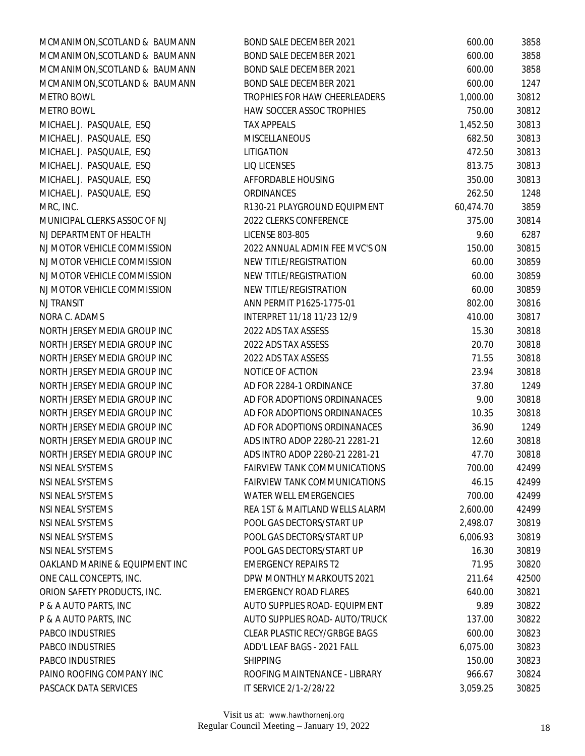| MCMANIMON, SCOTLAND & BAUMANN  | <b>BOND SALE DECEMBER 2021</b>      | 600.00    | 3858  |
|--------------------------------|-------------------------------------|-----------|-------|
| MCMANIMON, SCOTLAND & BAUMANN  | BOND SALE DECEMBER 2021             | 600.00    | 3858  |
| MCMANIMON, SCOTLAND & BAUMANN  | <b>BOND SALE DECEMBER 2021</b>      | 600.00    | 3858  |
| MCMANIMON, SCOTLAND & BAUMANN  | <b>BOND SALE DECEMBER 2021</b>      | 600.00    | 1247  |
| METRO BOWL                     | TROPHIES FOR HAW CHEERLEADERS       | 1,000.00  | 30812 |
| <b>METRO BOWL</b>              | HAW SOCCER ASSOC TROPHIES           | 750.00    | 30812 |
| MICHAEL J. PASQUALE, ESQ       | <b>TAX APPEALS</b>                  | 1,452.50  | 30813 |
| MICHAEL J. PASQUALE, ESQ       | <b>MISCELLANEOUS</b>                | 682.50    | 30813 |
| MICHAEL J. PASQUALE, ESQ       | LITIGATION                          | 472.50    | 30813 |
| MICHAEL J. PASQUALE, ESQ       | LIQ LICENSES                        | 813.75    | 30813 |
| MICHAEL J. PASQUALE, ESQ       | AFFORDABLE HOUSING                  | 350.00    | 30813 |
| MICHAEL J. PASQUALE, ESQ       | ORDINANCES                          | 262.50    | 1248  |
| MRC, INC.                      | R130-21 PLAYGROUND EQUIPMENT        | 60,474.70 | 3859  |
| MUNICIPAL CLERKS ASSOC OF NJ   | 2022 CLERKS CONFERENCE              | 375.00    | 30814 |
| NJ DEPARTMENT OF HEALTH        | <b>LICENSE 803-805</b>              | 9.60      | 6287  |
| NJ MOTOR VEHICLE COMMISSION    | 2022 ANNUAL ADMIN FEE MVC'S ON      | 150.00    | 30815 |
| NJ MOTOR VEHICLE COMMISSION    | NEW TITLE/REGISTRATION              | 60.00     | 30859 |
| NJ MOTOR VEHICLE COMMISSION    | NEW TITLE/REGISTRATION              | 60.00     | 30859 |
| NJ MOTOR VEHICLE COMMISSION    | NEW TITLE/REGISTRATION              | 60.00     | 30859 |
| <b>NJ TRANSIT</b>              | ANN PERMIT P1625-1775-01            | 802.00    | 30816 |
| NORA C. ADAMS                  | INTERPRET 11/18 11/23 12/9          | 410.00    | 30817 |
| NORTH JERSEY MEDIA GROUP INC   | 2022 ADS TAX ASSESS                 | 15.30     | 30818 |
| NORTH JERSEY MEDIA GROUP INC   | 2022 ADS TAX ASSESS                 | 20.70     | 30818 |
| NORTH JERSEY MEDIA GROUP INC   | 2022 ADS TAX ASSESS                 | 71.55     | 30818 |
| NORTH JERSEY MEDIA GROUP INC   | NOTICE OF ACTION                    | 23.94     | 30818 |
| NORTH JERSEY MEDIA GROUP INC   | AD FOR 2284-1 ORDINANCE             | 37.80     | 1249  |
| NORTH JERSEY MEDIA GROUP INC   | AD FOR ADOPTIONS ORDINANACES        | 9.00      | 30818 |
| NORTH JERSEY MEDIA GROUP INC   | AD FOR ADOPTIONS ORDINANACES        | 10.35     | 30818 |
| NORTH JERSEY MEDIA GROUP INC   | AD FOR ADOPTIONS ORDINANACES        | 36.90     | 1249  |
| NORTH JERSEY MEDIA GROUP INC   | ADS INTRO ADOP 2280-21 2281-21      | 12.60     | 30818 |
| NORTH JERSEY MEDIA GROUP INC   | ADS INTRO ADOP 2280-21 2281-21      | 47.70     | 30818 |
| NSI NEAL SYSTEMS               | <b>FAIRVIEW TANK COMMUNICATIONS</b> | 700.00    | 42499 |
| NSI NEAL SYSTEMS               | <b>FAIRVIEW TANK COMMUNICATIONS</b> | 46.15     | 42499 |
| NSI NEAL SYSTEMS               | WATER WELL EMERGENCIES              | 700.00    | 42499 |
| NSI NEAL SYSTEMS               | REA 1ST & MAITLAND WELLS ALARM      | 2,600.00  | 42499 |
| NSI NEAL SYSTEMS               | POOL GAS DECTORS/START UP           | 2,498.07  | 30819 |
| NSI NEAL SYSTEMS               | POOL GAS DECTORS/START UP           | 6,006.93  | 30819 |
| NSI NEAL SYSTEMS               | POOL GAS DECTORS/START UP           | 16.30     | 30819 |
| OAKLAND MARINE & EQUIPMENT INC | <b>EMERGENCY REPAIRS T2</b>         | 71.95     | 30820 |
| ONE CALL CONCEPTS, INC.        | DPW MONTHLY MARKOUTS 2021           | 211.64    | 42500 |
| ORION SAFETY PRODUCTS, INC.    | <b>EMERGENCY ROAD FLARES</b>        | 640.00    | 30821 |
| P & A AUTO PARTS, INC          | AUTO SUPPLIES ROAD- EQUIPMENT       | 9.89      | 30822 |
| P & A AUTO PARTS, INC          | AUTO SUPPLIES ROAD- AUTO/TRUCK      | 137.00    | 30822 |
| PABCO INDUSTRIES               | CLEAR PLASTIC RECY/GRBGE BAGS       | 600.00    | 30823 |
| <b>PABCO INDUSTRIES</b>        | ADD'L LEAF BAGS - 2021 FALL         | 6,075.00  | 30823 |
| PABCO INDUSTRIES               | <b>SHIPPING</b>                     | 150.00    | 30823 |
| PAINO ROOFING COMPANY INC      | ROOFING MAINTENANCE - LIBRARY       | 966.67    | 30824 |
| PASCACK DATA SERVICES          | IT SERVICE 2/1-2/28/22              | 3,059.25  | 30825 |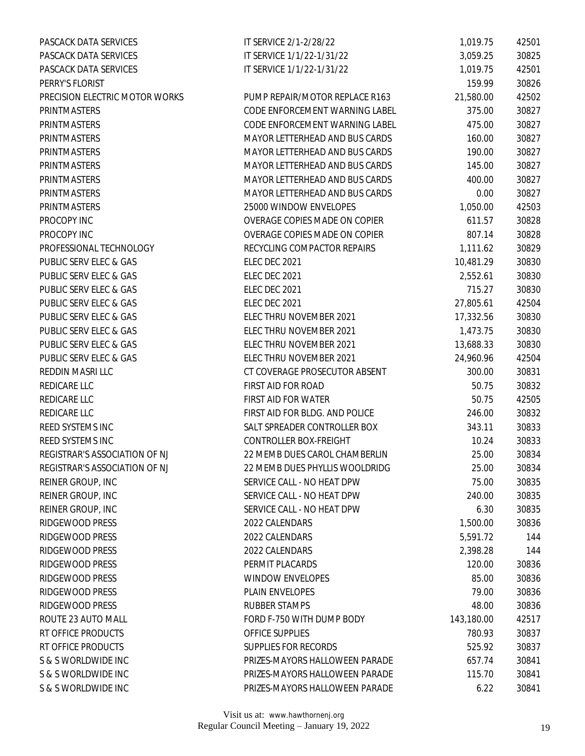| PASCACK DATA SERVICES          | IT SERVICE 2/1-2/28/22               | 1,019.75   | 42501 |
|--------------------------------|--------------------------------------|------------|-------|
| PASCACK DATA SERVICES          | IT SERVICE 1/1/22-1/31/22            | 3,059.25   | 30825 |
| PASCACK DATA SERVICES          | IT SERVICE 1/1/22-1/31/22            | 1,019.75   | 42501 |
| PERRY'S FLORIST                |                                      | 159.99     | 30826 |
| PRECISION ELECTRIC MOTOR WORKS | PUMP REPAIR/MOTOR REPLACE R163       | 21,580.00  | 42502 |
| PRINTMASTERS                   | CODE ENFORCEMENT WARNING LABEL       | 375.00     | 30827 |
| PRINTMASTERS                   | CODE ENFORCEMENT WARNING LABEL       | 475.00     | 30827 |
| PRINTMASTERS                   | MAYOR LETTERHEAD AND BUS CARDS       | 160.00     | 30827 |
| <b>PRINTMASTERS</b>            | MAYOR LETTERHEAD AND BUS CARDS       | 190.00     | 30827 |
| PRINTMASTERS                   | MAYOR LETTERHEAD AND BUS CARDS       | 145.00     | 30827 |
| PRINTMASTERS                   | MAYOR LETTERHEAD AND BUS CARDS       | 400.00     | 30827 |
| PRINTMASTERS                   | MAYOR LETTERHEAD AND BUS CARDS       | 0.00       | 30827 |
| PRINTMASTERS                   | 25000 WINDOW ENVELOPES               | 1,050.00   | 42503 |
| PROCOPY INC                    | OVERAGE COPIES MADE ON COPIER        | 611.57     | 30828 |
| PROCOPY INC                    | <b>OVERAGE COPIES MADE ON COPIER</b> | 807.14     | 30828 |
| PROFESSIONAL TECHNOLOGY        | RECYCLING COMPACTOR REPAIRS          | 1,111.62   | 30829 |
| PUBLIC SERV ELEC & GAS         | ELEC DEC 2021                        | 10,481.29  | 30830 |
| PUBLIC SERV ELEC & GAS         | ELEC DEC 2021                        | 2,552.61   | 30830 |
| PUBLIC SERV ELEC & GAS         | ELEC DEC 2021                        | 715.27     | 30830 |
| PUBLIC SERV ELEC & GAS         | ELEC DEC 2021                        | 27,805.61  | 42504 |
| PUBLIC SERV ELEC & GAS         | ELEC THRU NOVEMBER 2021              | 17,332.56  | 30830 |
| PUBLIC SERV ELEC & GAS         | ELEC THRU NOVEMBER 2021              | 1,473.75   | 30830 |
| PUBLIC SERV ELEC & GAS         | ELEC THRU NOVEMBER 2021              | 13,688.33  | 30830 |
| PUBLIC SERV ELEC & GAS         | ELEC THRU NOVEMBER 2021              | 24,960.96  | 42504 |
| REDDIN MASRI LLC               | CT COVERAGE PROSECUTOR ABSENT        | 300.00     | 30831 |
| REDICARE LLC                   | FIRST AID FOR ROAD                   | 50.75      | 30832 |
| REDICARE LLC                   | FIRST AID FOR WATER                  | 50.75      | 42505 |
| REDICARE LLC                   | FIRST AID FOR BLDG. AND POLICE       | 246.00     | 30832 |
| REED SYSTEMS INC               | SALT SPREADER CONTROLLER BOX         | 343.11     | 30833 |
| REED SYSTEMS INC               | CONTROLLER BOX-FREIGHT               | 10.24      | 30833 |
| REGISTRAR'S ASSOCIATION OF NJ  | 22 MEMB DUES CAROL CHAMBERLIN        | 25.00      | 30834 |
| REGISTRAR'S ASSOCIATION OF NJ  | 22 MEMB DUES PHYLLIS WOOLDRIDG       | 25.00      | 30834 |
| REINER GROUP, INC              | SERVICE CALL - NO HEAT DPW           | 75.00      | 30835 |
| REINER GROUP, INC              | SERVICE CALL - NO HEAT DPW           | 240.00     | 30835 |
| REINER GROUP, INC              | SERVICE CALL - NO HEAT DPW           | 6.30       | 30835 |
| RIDGEWOOD PRESS                | 2022 CALENDARS                       | 1,500.00   | 30836 |
| RIDGEWOOD PRESS                | 2022 CALENDARS                       | 5,591.72   | 144   |
| RIDGEWOOD PRESS                | 2022 CALENDARS                       | 2,398.28   | 144   |
| RIDGEWOOD PRESS                | PERMIT PLACARDS                      | 120.00     | 30836 |
| RIDGEWOOD PRESS                | <b>WINDOW ENVELOPES</b>              | 85.00      | 30836 |
| RIDGEWOOD PRESS                | PLAIN ENVELOPES                      | 79.00      | 30836 |
| RIDGEWOOD PRESS                | <b>RUBBER STAMPS</b>                 | 48.00      | 30836 |
| ROUTE 23 AUTO MALL             | FORD F-750 WITH DUMP BODY            | 143,180.00 | 42517 |
| RT OFFICE PRODUCTS             | <b>OFFICE SUPPLIES</b>               | 780.93     | 30837 |
| RT OFFICE PRODUCTS             | SUPPLIES FOR RECORDS                 | 525.92     | 30837 |
| S & S WORLDWIDE INC            | PRIZES-MAYORS HALLOWEEN PARADE       | 657.74     | 30841 |
| S & S WORLDWIDE INC            | PRIZES-MAYORS HALLOWEEN PARADE       | 115.70     | 30841 |
| S & S WORLDWIDE INC            | PRIZES-MAYORS HALLOWEEN PARADE       | 6.22       | 30841 |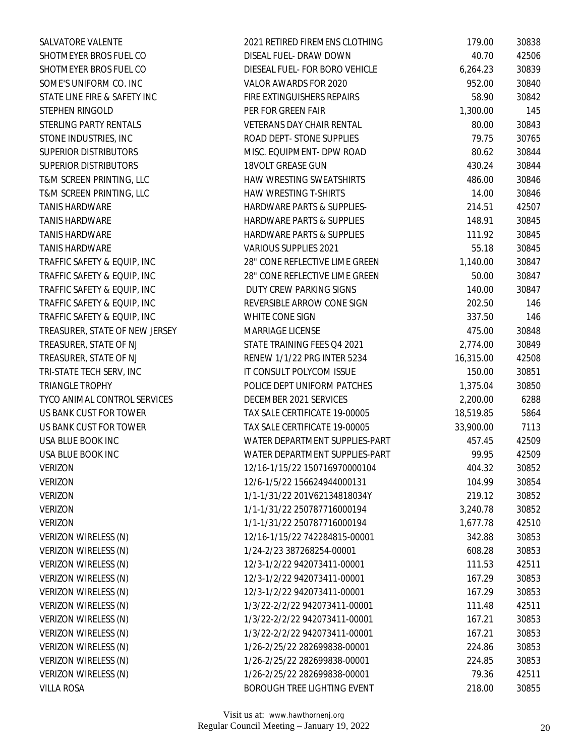| SALVATORE VALENTE              | 2021 RETIRED FIREMENS CLOTHING   | 179.00    | 30838 |
|--------------------------------|----------------------------------|-----------|-------|
| SHOTMEYER BROS FUEL CO         | DISEAL FUEL- DRAW DOWN           | 40.70     | 42506 |
| SHOTMEYER BROS FUEL CO         | DIESEAL FUEL- FOR BORO VEHICLE   | 6,264.23  | 30839 |
| SOME'S UNIFORM CO. INC         | VALOR AWARDS FOR 2020            | 952.00    | 30840 |
| STATE LINE FIRE & SAFETY INC   | FIRE EXTINGUISHERS REPAIRS       | 58.90     | 30842 |
| STEPHEN RINGOLD                | PER FOR GREEN FAIR               | 1,300.00  | 145   |
| STERLING PARTY RENTALS         | <b>VETERANS DAY CHAIR RENTAL</b> | 80.00     | 30843 |
| STONE INDUSTRIES, INC          | ROAD DEPT- STONE SUPPLIES        | 79.75     | 30765 |
| <b>SUPERIOR DISTRIBUTORS</b>   | MISC. EQUIPMENT- DPW ROAD        | 80.62     | 30844 |
| <b>SUPERIOR DISTRIBUTORS</b>   | 18VOLT GREASE GUN                | 430.24    | 30844 |
| T&M SCREEN PRINTING, LLC       | HAW WRESTING SWEATSHIRTS         | 486.00    | 30846 |
| T&M SCREEN PRINTING, LLC       | HAW WRESTING T-SHIRTS            | 14.00     | 30846 |
| <b>TANIS HARDWARE</b>          | HARDWARE PARTS & SUPPLIES-       | 214.51    | 42507 |
| <b>TANIS HARDWARE</b>          | HARDWARE PARTS & SUPPLIES        | 148.91    | 30845 |
| <b>TANIS HARDWARE</b>          | HARDWARE PARTS & SUPPLIES        | 111.92    | 30845 |
| <b>TANIS HARDWARE</b>          | VARIOUS SUPPLIES 2021            | 55.18     | 30845 |
| TRAFFIC SAFETY & EQUIP, INC    | 28" CONE REFLECTIVE LIME GREEN   | 1,140.00  | 30847 |
| TRAFFIC SAFETY & EQUIP, INC    | 28" CONE REFLECTIVE LIME GREEN   | 50.00     | 30847 |
| TRAFFIC SAFETY & EQUIP, INC    | DUTY CREW PARKING SIGNS          | 140.00    | 30847 |
| TRAFFIC SAFETY & EQUIP, INC    | REVERSIBLE ARROW CONE SIGN       | 202.50    | 146   |
| TRAFFIC SAFETY & EQUIP, INC    | WHITE CONE SIGN                  | 337.50    | 146   |
| TREASURER, STATE OF NEW JERSEY | MARRIAGE LICENSE                 | 475.00    | 30848 |
| TREASURER, STATE OF NJ         | STATE TRAINING FEES Q4 2021      | 2,774.00  | 30849 |
| TREASURER, STATE OF NJ         | RENEW 1/1/22 PRG INTER 5234      | 16,315.00 | 42508 |
| TRI-STATE TECH SERV, INC       | IT CONSULT POLYCOM ISSUE         | 150.00    | 30851 |
| TRIANGLE TROPHY                | POLICE DEPT UNIFORM PATCHES      | 1,375.04  | 30850 |
| TYCO ANIMAL CONTROL SERVICES   | DECEMBER 2021 SERVICES           | 2,200.00  | 6288  |
| US BANK CUST FOR TOWER         | TAX SALE CERTIFICATE 19-00005    | 18,519.85 | 5864  |
| US BANK CUST FOR TOWER         | TAX SALE CERTIFICATE 19-00005    | 33,900.00 | 7113  |
| USA BLUE BOOK INC              | WATER DEPARTMENT SUPPLIES-PART   | 457.45    | 42509 |
| USA BLUE BOOK INC              | WATER DEPARTMENT SUPPLIES-PART   | 99.95     | 42509 |
| VERIZON                        | 12/16-1/15/22 150716970000104    | 404.32    | 30852 |
| <b>VERIZON</b>                 | 12/6-1/5/22 156624944000131      | 104.99    | 30854 |
| <b>VERIZON</b>                 | 1/1-1/31/22 201V62134818034Y     | 219.12    | 30852 |
| <b>VERIZON</b>                 | 1/1-1/31/22 250787716000194      | 3,240.78  | 30852 |
| <b>VERIZON</b>                 | 1/1-1/31/22 250787716000194      | 1,677.78  | 42510 |
| <b>VERIZON WIRELESS (N)</b>    | 12/16-1/15/22 742284815-00001    | 342.88    | 30853 |
| VERIZON WIRELESS (N)           | 1/24-2/23 387268254-00001        | 608.28    | 30853 |
| VERIZON WIRELESS (N)           | 12/3-1/2/22 942073411-00001      | 111.53    | 42511 |
| VERIZON WIRELESS (N)           | 12/3-1/2/22 942073411-00001      | 167.29    | 30853 |
| VERIZON WIRELESS (N)           | 12/3-1/2/22 942073411-00001      | 167.29    | 30853 |
| VERIZON WIRELESS (N)           | 1/3/22-2/2/22 942073411-00001    | 111.48    | 42511 |
| VERIZON WIRELESS (N)           | 1/3/22-2/2/22 942073411-00001    | 167.21    | 30853 |
| VERIZON WIRELESS (N)           | 1/3/22-2/2/22 942073411-00001    | 167.21    | 30853 |
| VERIZON WIRELESS (N)           | 1/26-2/25/22 282699838-00001     | 224.86    | 30853 |
| VERIZON WIRELESS (N)           | 1/26-2/25/22 282699838-00001     | 224.85    | 30853 |
| VERIZON WIRELESS (N)           | 1/26-2/25/22 282699838-00001     | 79.36     | 42511 |
| <b>VILLA ROSA</b>              | BOROUGH TREE LIGHTING EVENT      | 218.00    | 30855 |